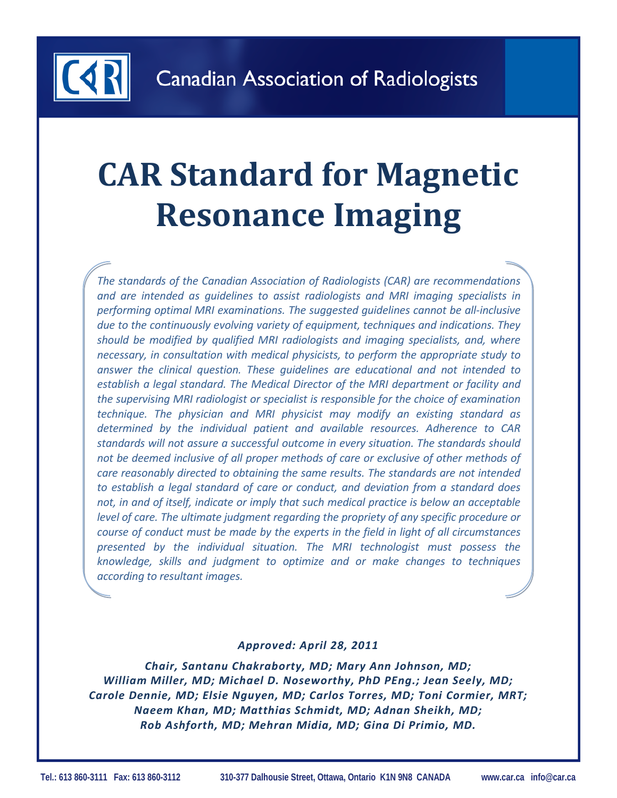# **CAR Standard for Magnetic Resonance Imaging**

*The standards of the Canadian Association of Radiologists (CAR) are recommendations and are intended as guidelines to assist radiologists and MRI imaging specialists in performing optimal MRI examinations. The suggested guidelines cannot be all-inclusive due to the continuously evolving variety of equipment, techniques and indications. They should be modified by qualified MRI radiologists and imaging specialists, and, where necessary, in consultation with medical physicists, to perform the appropriate study to answer the clinical question. These guidelines are educational and not intended to establish a legal standard. The Medical Director of the MRI department or facility and the supervising MRI radiologist or specialist is responsible for the choice of examination technique. The physician and MRI physicist may modify an existing standard as determined by the individual patient and available resources. Adherence to CAR standards will not assure a successful outcome in every situation. The standards should not be deemed inclusive of all proper methods of care or exclusive of other methods of care reasonably directed to obtaining the same results. The standards are not intended to establish a legal standard of care or conduct, and deviation from a standard does not, in and of itself, indicate or imply that such medical practice is below an acceptable level of care. The ultimate judgment regarding the propriety of any specific procedure or course of conduct must be made by the experts in the field in light of all circumstances presented by the individual situation. The MRI technologist must possess the knowledge, skills and judgment to optimize and or make changes to techniques according to resultant images.*

#### *Approved: April 28, 2011*

*Chair, Santanu Chakraborty, MD; Mary Ann Johnson, MD; William Miller, MD; Michael D. Noseworthy, PhD PEng.; Jean Seely, MD; Carole Dennie, MD; Elsie Nguyen, MD; Carlos Torres, MD; Toni Cormier, MRT; Naeem Khan, MD; Matthias Schmidt, MD; Adnan Sheikh, MD; Rob Ashforth, MD; Mehran Midia, MD; Gina Di Primio, MD.*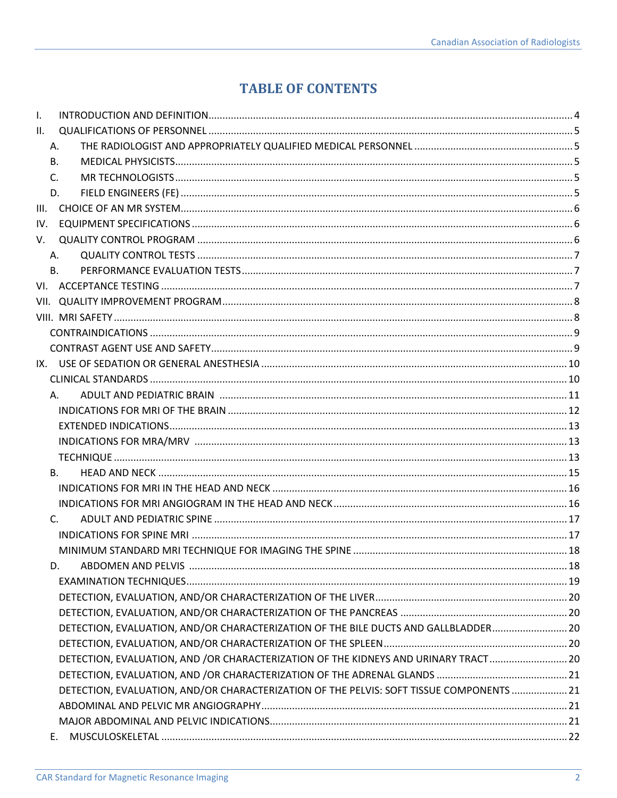# **TABLE OF CONTENTS**

| I.   |                                                                                          |  |
|------|------------------------------------------------------------------------------------------|--|
| II.  |                                                                                          |  |
|      | А.                                                                                       |  |
|      | <b>B.</b>                                                                                |  |
|      | C.                                                                                       |  |
|      | D.                                                                                       |  |
| III. |                                                                                          |  |
|      |                                                                                          |  |
|      |                                                                                          |  |
|      | А.                                                                                       |  |
|      | <b>B.</b>                                                                                |  |
|      |                                                                                          |  |
|      |                                                                                          |  |
|      |                                                                                          |  |
|      |                                                                                          |  |
|      |                                                                                          |  |
|      |                                                                                          |  |
|      |                                                                                          |  |
|      | А.                                                                                       |  |
|      |                                                                                          |  |
|      |                                                                                          |  |
|      |                                                                                          |  |
|      |                                                                                          |  |
|      | <b>B.</b>                                                                                |  |
|      |                                                                                          |  |
|      |                                                                                          |  |
|      | $C_{\cdot}$                                                                              |  |
|      |                                                                                          |  |
|      |                                                                                          |  |
|      | D.                                                                                       |  |
|      |                                                                                          |  |
|      |                                                                                          |  |
|      |                                                                                          |  |
|      | DETECTION, EVALUATION, AND/OR CHARACTERIZATION OF THE BILE DUCTS AND GALLBLADDER 20      |  |
|      |                                                                                          |  |
|      | DETECTION, EVALUATION, AND /OR CHARACTERIZATION OF THE KIDNEYS AND URINARY TRACT 20      |  |
|      |                                                                                          |  |
|      | DETECTION, EVALUATION, AND/OR CHARACTERIZATION OF THE PELVIS: SOFT TISSUE COMPONENTS  21 |  |
|      |                                                                                          |  |
|      |                                                                                          |  |
|      | Е.                                                                                       |  |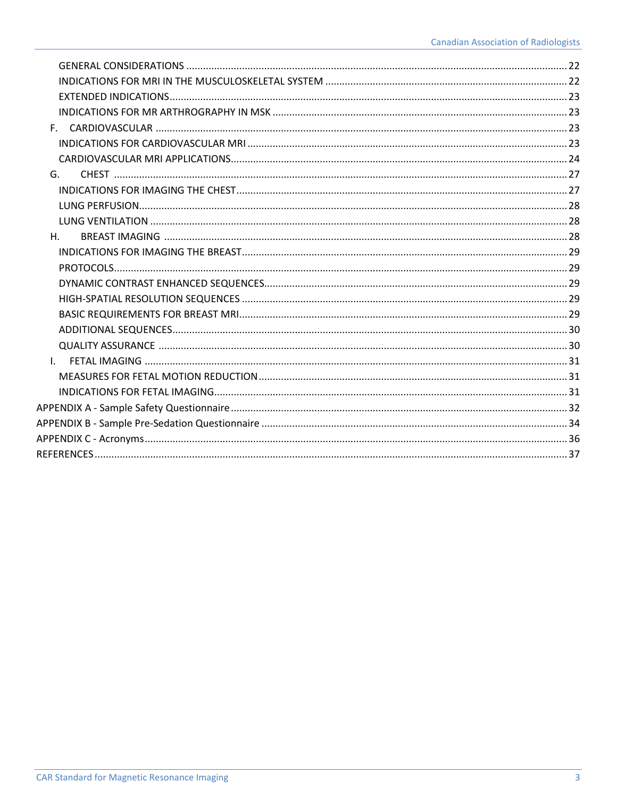| G. |  |
|----|--|
|    |  |
|    |  |
|    |  |
| H. |  |
|    |  |
|    |  |
|    |  |
|    |  |
|    |  |
|    |  |
|    |  |
|    |  |
|    |  |
|    |  |
|    |  |
|    |  |
|    |  |
|    |  |
|    |  |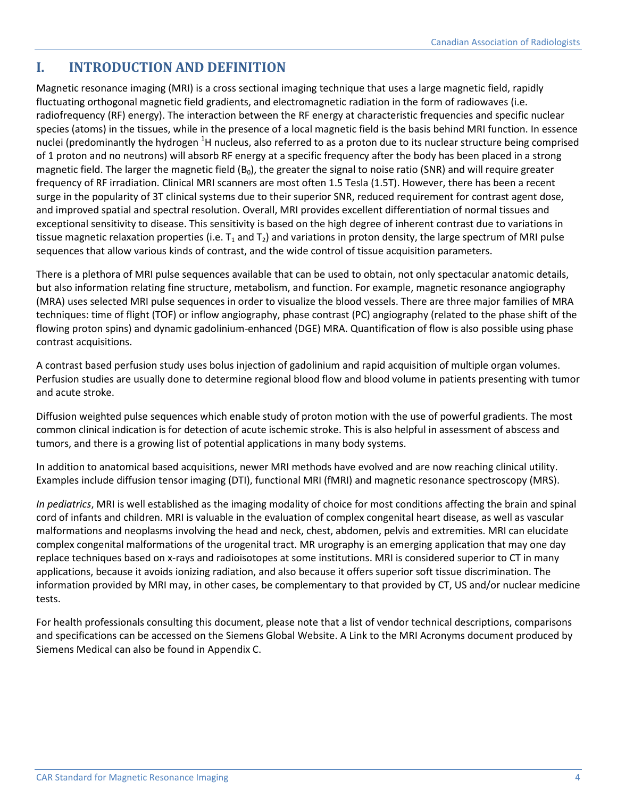# <span id="page-3-0"></span>**I. INTRODUCTION AND DEFINITION**

Magnetic resonance imaging (MRI) is a cross sectional imaging technique that uses a large magnetic field, rapidly fluctuating orthogonal magnetic field gradients, and electromagnetic radiation in the form of radiowaves (i.e. radiofrequency (RF) energy). The interaction between the RF energy at characteristic frequencies and specific nuclear species (atoms) in the tissues, while in the presence of a local magnetic field is the basis behind MRI function. In essence nuclei (predominantly the hydrogen <sup>1</sup>H nucleus, also referred to as a proton due to its nuclear structure being comprised of 1 proton and no neutrons) will absorb RF energy at a specific frequency after the body has been placed in a strong magnetic field. The larger the magnetic field  $(B_0)$ , the greater the signal to noise ratio (SNR) and will require greater frequency of RF irradiation. Clinical MRI scanners are most often 1.5 Tesla (1.5T). However, there has been a recent surge in the popularity of 3T clinical systems due to their superior SNR, reduced requirement for contrast agent dose, and improved spatial and spectral resolution. Overall, MRI provides excellent differentiation of normal tissues and exceptional sensitivity to disease. This sensitivity is based on the high degree of inherent contrast due to variations in tissue magnetic relaxation properties (i.e.  $T_1$  and  $T_2$ ) and variations in proton density, the large spectrum of MRI pulse sequences that allow various kinds of contrast, and the wide control of tissue acquisition parameters.

There is a plethora of MRI pulse sequences available that can be used to obtain, not only spectacular anatomic details, but also information relating fine structure, metabolism, and function. For example, magnetic resonance angiography (MRA) uses selected MRI pulse sequences in order to visualize the blood vessels. There are three major families of MRA techniques: time of flight (TOF) or inflow angiography, phase contrast (PC) angiography (related to the phase shift of the flowing proton spins) and dynamic gadolinium-enhanced (DGE) MRA. Quantification of flow is also possible using phase contrast acquisitions.

A contrast based perfusion study uses bolus injection of gadolinium and rapid acquisition of multiple organ volumes. Perfusion studies are usually done to determine regional blood flow and blood volume in patients presenting with tumor and acute stroke.

Diffusion weighted pulse sequences which enable study of proton motion with the use of powerful gradients. The most common clinical indication is for detection of acute ischemic stroke. This is also helpful in assessment of abscess and tumors, and there is a growing list of potential applications in many body systems.

In addition to anatomical based acquisitions, newer MRI methods have evolved and are now reaching clinical utility. Examples include diffusion tensor imaging (DTI), functional MRI (fMRI) and magnetic resonance spectroscopy (MRS).

*In pediatrics*, MRI is well established as the imaging modality of choice for most conditions affecting the brain and spinal cord of infants and children. MRI is valuable in the evaluation of complex congenital heart disease, as well as vascular malformations and neoplasms involving the head and neck, chest, abdomen, pelvis and extremities. MRI can elucidate complex congenital malformations of the urogenital tract. MR urography is an emerging application that may one day replace techniques based on x-rays and radioisotopes at some institutions. MRI is considered superior to CT in many applications, because it avoids ionizing radiation, and also because it offers superior soft tissue discrimination. The information provided by MRI may, in other cases, be complementary to that provided by CT, US and/or nuclear medicine tests.

For health professionals consulting this document, please note that a list of vendor technical descriptions, comparisons and specifications can be accessed on the Siemens Global Website. A Link to the MRI Acronyms document produced by Siemens Medical can also be found in Appendix C.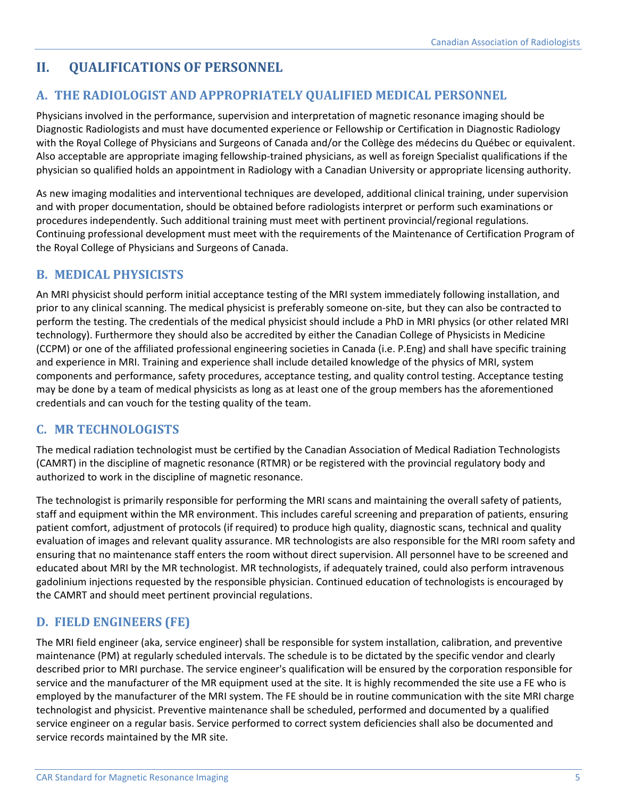# <span id="page-4-0"></span>**II. QUALIFICATIONS OF PERSONNEL**

# <span id="page-4-1"></span>**A. THE RADIOLOGIST AND APPROPRIATELY QUALIFIED MEDICAL PERSONNEL**

Physicians involved in the performance, supervision and interpretation of magnetic resonance imaging should be Diagnostic Radiologists and must have documented experience or Fellowship or Certification in Diagnostic Radiology with the Royal College of Physicians and Surgeons of Canada and/or the Collège des médecins du Québec or equivalent. Also acceptable are appropriate imaging fellowship-trained physicians, as well as foreign Specialist qualifications if the physician so qualified holds an appointment in Radiology with a Canadian University or appropriate licensing authority.

As new imaging modalities and interventional techniques are developed, additional clinical training, under supervision and with proper documentation, should be obtained before radiologists interpret or perform such examinations or procedures independently. Such additional training must meet with pertinent provincial/regional regulations. Continuing professional development must meet with the requirements of the Maintenance of Certification Program of the Royal College of Physicians and Surgeons of Canada.

## <span id="page-4-2"></span>**B. MEDICAL PHYSICISTS**

An MRI physicist should perform initial acceptance testing of the MRI system immediately following installation, and prior to any clinical scanning. The medical physicist is preferably someone on-site, but they can also be contracted to perform the testing. The credentials of the medical physicist should include a PhD in MRI physics (or other related MRI technology). Furthermore they should also be accredited by either the Canadian College of Physicists in Medicine (CCPM) or one of the affiliated professional engineering societies in Canada (i.e. P.Eng) and shall have specific training and experience in MRI. Training and experience shall include detailed knowledge of the physics of MRI, system components and performance, safety procedures, acceptance testing, and quality control testing. Acceptance testing may be done by a team of medical physicists as long as at least one of the group members has the aforementioned credentials and can vouch for the testing quality of the team.

## <span id="page-4-3"></span>**C. MR TECHNOLOGISTS**

The medical radiation technologist must be certified by the Canadian Association of Medical Radiation Technologists (CAMRT) in the discipline of magnetic resonance (RTMR) or be registered with the provincial regulatory body and authorized to work in the discipline of magnetic resonance.

The technologist is primarily responsible for performing the MRI scans and maintaining the overall safety of patients, staff and equipment within the MR environment. This includes careful screening and preparation of patients, ensuring patient comfort, adjustment of protocols (if required) to produce high quality, diagnostic scans, technical and quality evaluation of images and relevant quality assurance. MR technologists are also responsible for the MRI room safety and ensuring that no maintenance staff enters the room without direct supervision. All personnel have to be screened and educated about MRI by the MR technologist. MR technologists, if adequately trained, could also perform intravenous gadolinium injections requested by the responsible physician. Continued education of technologists is encouraged by the CAMRT and should meet pertinent provincial regulations.

# <span id="page-4-4"></span>**D. FIELD ENGINEERS (FE)**

The MRI field engineer (aka, service engineer) shall be responsible for system installation, calibration, and preventive maintenance (PM) at regularly scheduled intervals. The schedule is to be dictated by the specific vendor and clearly described prior to MRI purchase. The service engineer's qualification will be ensured by the corporation responsible for service and the manufacturer of the MR equipment used at the site. It is highly recommended the site use a FE who is employed by the manufacturer of the MRI system. The FE should be in routine communication with the site MRI charge technologist and physicist. Preventive maintenance shall be scheduled, performed and documented by a qualified service engineer on a regular basis. Service performed to correct system deficiencies shall also be documented and service records maintained by the MR site.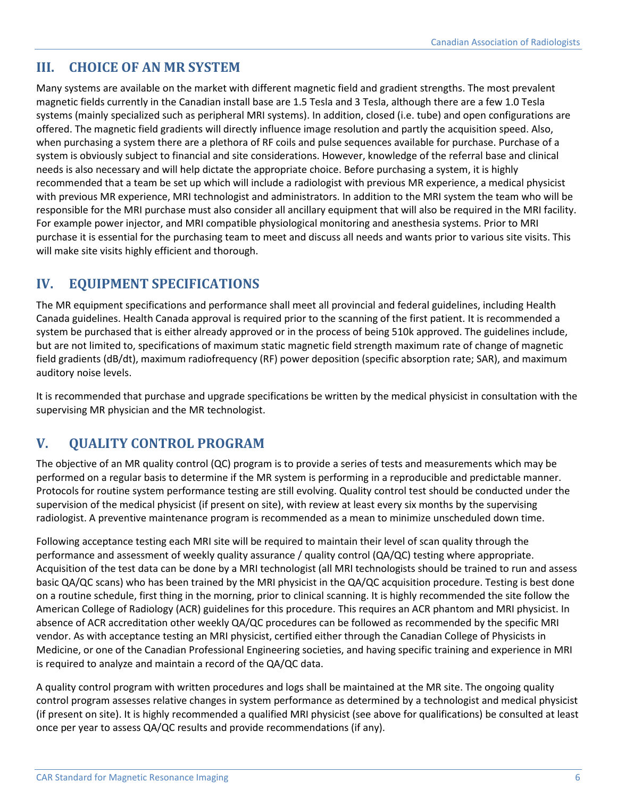# <span id="page-5-0"></span>**III. CHOICE OF AN MR SYSTEM**

Many systems are available on the market with different magnetic field and gradient strengths. The most prevalent magnetic fields currently in the Canadian install base are 1.5 Tesla and 3 Tesla, although there are a few 1.0 Tesla systems (mainly specialized such as peripheral MRI systems). In addition, closed (i.e. tube) and open configurations are offered. The magnetic field gradients will directly influence image resolution and partly the acquisition speed. Also, when purchasing a system there are a plethora of RF coils and pulse sequences available for purchase. Purchase of a system is obviously subject to financial and site considerations. However, knowledge of the referral base and clinical needs is also necessary and will help dictate the appropriate choice. Before purchasing a system, it is highly recommended that a team be set up which will include a radiologist with previous MR experience, a medical physicist with previous MR experience, MRI technologist and administrators. In addition to the MRI system the team who will be responsible for the MRI purchase must also consider all ancillary equipment that will also be required in the MRI facility. For example power injector, and MRI compatible physiological monitoring and anesthesia systems. Prior to MRI purchase it is essential for the purchasing team to meet and discuss all needs and wants prior to various site visits. This will make site visits highly efficient and thorough.

# <span id="page-5-1"></span>**IV. EQUIPMENT SPECIFICATIONS**

The MR equipment specifications and performance shall meet all provincial and federal guidelines, including Health Canada guidelines. Health Canada approval is required prior to the scanning of the first patient. It is recommended a system be purchased that is either already approved or in the process of being 510k approved. The guidelines include, but are not limited to, specifications of maximum static magnetic field strength maximum rate of change of magnetic field gradients (dB/dt), maximum radiofrequency (RF) power deposition (specific absorption rate; SAR), and maximum auditory noise levels.

It is recommended that purchase and upgrade specifications be written by the medical physicist in consultation with the supervising MR physician and the MR technologist.

# <span id="page-5-2"></span>**V. QUALITY CONTROL PROGRAM**

The objective of an MR quality control (QC) program is to provide a series of tests and measurements which may be performed on a regular basis to determine if the MR system is performing in a reproducible and predictable manner. Protocols for routine system performance testing are still evolving. Quality control test should be conducted under the supervision of the medical physicist (if present on site), with review at least every six months by the supervising radiologist. A preventive maintenance program is recommended as a mean to minimize unscheduled down time.

Following acceptance testing each MRI site will be required to maintain their level of scan quality through the performance and assessment of weekly quality assurance / quality control (QA/QC) testing where appropriate. Acquisition of the test data can be done by a MRI technologist (all MRI technologists should be trained to run and assess basic QA/QC scans) who has been trained by the MRI physicist in the QA/QC acquisition procedure. Testing is best done on a routine schedule, first thing in the morning, prior to clinical scanning. It is highly recommended the site follow the American College of Radiology (ACR) guidelines for this procedure. This requires an ACR phantom and MRI physicist. In absence of ACR accreditation other weekly QA/QC procedures can be followed as recommended by the specific MRI vendor. As with acceptance testing an MRI physicist, certified either through the Canadian College of Physicists in Medicine, or one of the Canadian Professional Engineering societies, and having specific training and experience in MRI is required to analyze and maintain a record of the QA/QC data.

A quality control program with written procedures and logs shall be maintained at the MR site. The ongoing quality control program assesses relative changes in system performance as determined by a technologist and medical physicist (if present on site). It is highly recommended a qualified MRI physicist (see above for qualifications) be consulted at least once per year to assess QA/QC results and provide recommendations (if any).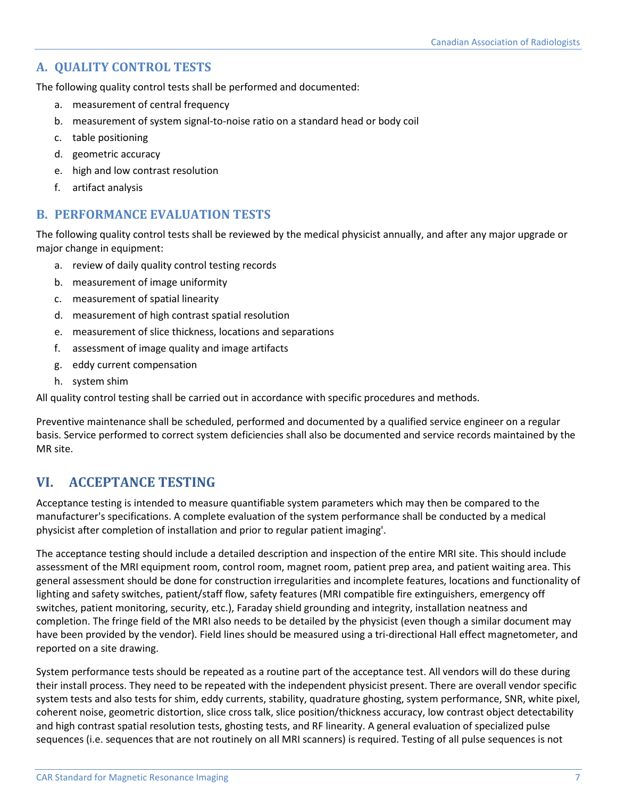# <span id="page-6-0"></span>**A. QUALITY CONTROL TESTS**

The following quality control tests shall be performed and documented:

- a. measurement of central frequency
- b. measurement of system signal-to-noise ratio on a standard head or body coil
- c. table positioning
- d. geometric accuracy
- e. high and low contrast resolution
- f. artifact analysis

## <span id="page-6-1"></span>**B. PERFORMANCE EVALUATION TESTS**

The following quality control tests shall be reviewed by the medical physicist annually, and after any major upgrade or major change in equipment:

- a. review of daily quality control testing records
- b. measurement of image uniformity
- c. measurement of spatial linearity
- d. measurement of high contrast spatial resolution
- e. measurement of slice thickness, locations and separations
- f. assessment of image quality and image artifacts
- g. eddy current compensation
- h. system shim

All quality control testing shall be carried out in accordance with specific procedures and methods.

Preventive maintenance shall be scheduled, performed and documented by a qualified service engineer on a regular basis. Service performed to correct system deficiencies shall also be documented and service records maintained by the MR site.

# <span id="page-6-2"></span>**VI. ACCEPTANCE TESTING**

Acceptance testing is intended to measure quantifiable system parameters which may then be compared to the manufacturer's specifications. A complete evaluation of the system performance shall be conducted by a medical physicist after completion of installation and prior to regular patient imaging'.

The acceptance testing should include a detailed description and inspection of the entire MRI site. This should include assessment of the MRI equipment room, control room, magnet room, patient prep area, and patient waiting area. This general assessment should be done for construction irregularities and incomplete features, locations and functionality of lighting and safety switches, patient/staff flow, safety features (MRI compatible fire extinguishers, emergency off switches, patient monitoring, security, etc.), Faraday shield grounding and integrity, installation neatness and completion. The fringe field of the MRI also needs to be detailed by the physicist (even though a similar document may have been provided by the vendor). Field lines should be measured using a tri-directional Hall effect magnetometer, and reported on a site drawing.

System performance tests should be repeated as a routine part of the acceptance test. All vendors will do these during their install process. They need to be repeated with the independent physicist present. There are overall vendor specific system tests and also tests for shim, eddy currents, stability, quadrature ghosting, system performance, SNR, white pixel, coherent noise, geometric distortion, slice cross talk, slice position/thickness accuracy, low contrast object detectability and high contrast spatial resolution tests, ghosting tests, and RF linearity. A general evaluation of specialized pulse sequences (i.e. sequences that are not routinely on all MRI scanners) is required. Testing of all pulse sequences is not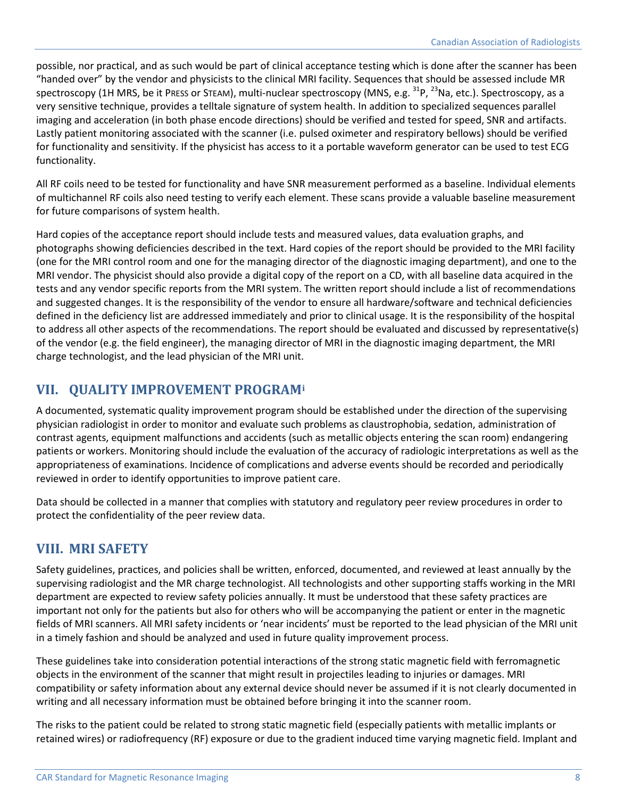possible, nor practical, and as such would be part of clinical acceptance testing which is done after the scanner has been "handed over" by the vendor and physicists to the clinical MRI facility. Sequences that should be assessed include MR spectroscopy (1H MRS, be it PRESS or STEAM), multi-nuclear spectroscopy (MNS, e.g. <sup>31</sup>P, <sup>23</sup>Na, etc.). Spectroscopy, as a very sensitive technique, provides a telltale signature of system health. In addition to specialized sequences parallel imaging and acceleration (in both phase encode directions) should be verified and tested for speed, SNR and artifacts. Lastly patient monitoring associated with the scanner (i.e. pulsed oximeter and respiratory bellows) should be verified for functionality and sensitivity. If the physicist has access to it a portable waveform generator can be used to test ECG functionality.

All RF coils need to be tested for functionality and have SNR measurement performed as a baseline. Individual elements of multichannel RF coils also need testing to verify each element. These scans provide a valuable baseline measurement for future comparisons of system health.

Hard copies of the acceptance report should include tests and measured values, data evaluation graphs, and photographs showing deficiencies described in the text. Hard copies of the report should be provided to the MRI facility (one for the MRI control room and one for the managing director of the diagnostic imaging department), and one to the MRI vendor. The physicist should also provide a digital copy of the report on a CD, with all baseline data acquired in the tests and any vendor specific reports from the MRI system. The written report should include a list of recommendations and suggested changes. It is the responsibility of the vendor to ensure all hardware/software and technical deficiencies defined in the deficiency list are addressed immediately and prior to clinical usage. It is the responsibility of the hospital to address all other aspects of the recommendations. The report should be evaluated and discussed by representative(s) of the vendor (e.g. the field engineer), the managing director of MRI in the diagnostic imaging department, the MRI charge technologist, and the lead physician of the MRI unit.

# <span id="page-7-0"></span>**VII. QUALITY IMPROVEMENT PROGRAM[i](#page-36-1)**

A documented, systematic quality improvement program should be established under the direction of the supervising physician radiologist in order to monitor and evaluate such problems as claustrophobia, sedation, administration of contrast agents, equipment malfunctions and accidents (such as metallic objects entering the scan room) endangering patients or workers. Monitoring should include the evaluation of the accuracy of radiologic interpretations as well as the appropriateness of examinations. Incidence of complications and adverse events should be recorded and periodically reviewed in order to identify opportunities to improve patient care.

Data should be collected in a manner that complies with statutory and regulatory peer review procedures in order to protect the confidentiality of the peer review data.

# <span id="page-7-1"></span>**VIII. MRI SAFETY**

Safety guidelines, practices, and policies shall be written, enforced, documented, and reviewed at least annually by the supervising radiologist and the MR charge technologist. All technologists and other supporting staffs working in the MRI department are expected to review safety policies annually. It must be understood that these safety practices are important not only for the patients but also for others who will be accompanying the patient or enter in the magnetic fields of MRI scanners. All MRI safety incidents or 'near incidents' must be reported to the lead physician of the MRI unit in a timely fashion and should be analyzed and used in future quality improvement process.

These guidelines take into consideration potential interactions of the strong static magnetic field with ferromagnetic objects in the environment of the scanner that might result in projectiles leading to injuries or damages. MRI compatibility or safety information about any external device should never be assumed if it is not clearly documented in writing and all necessary information must be obtained before bringing it into the scanner room.

The risks to the patient could be related to strong static magnetic field (especially patients with metallic implants or retained wires) or radiofrequency (RF) exposure or due to the gradient induced time varying magnetic field. Implant and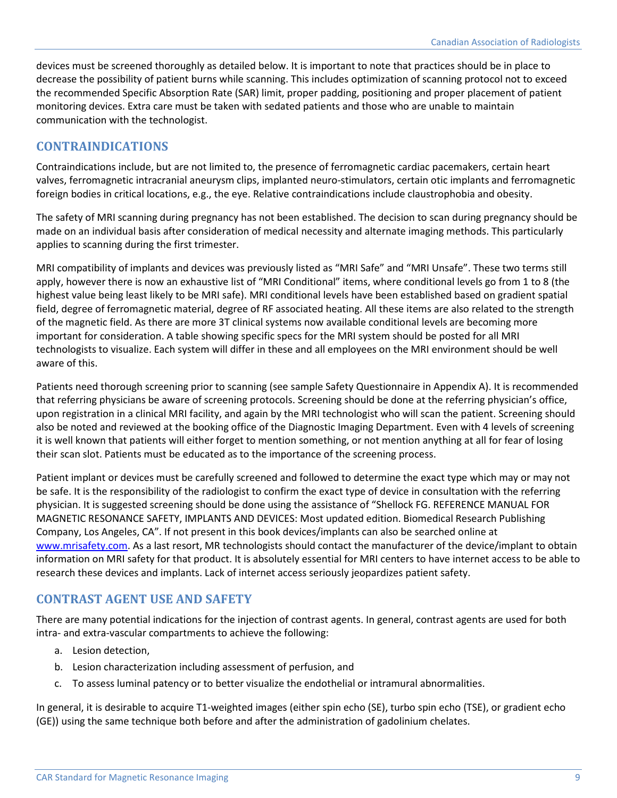devices must be screened thoroughly as detailed below. It is important to note that practices should be in place to decrease the possibility of patient burns while scanning. This includes optimization of scanning protocol not to exceed the recommended Specific Absorption Rate (SAR) limit, proper padding, positioning and proper placement of patient monitoring devices. Extra care must be taken with sedated patients and those who are unable to maintain communication with the technologist.

#### <span id="page-8-0"></span>**CONTRAINDICATIONS**

Contraindications include, but are not limited to, the presence of ferromagnetic cardiac pacemakers, certain heart valves, ferromagnetic intracranial aneurysm clips, implanted neuro-stimulators, certain otic implants and ferromagnetic foreign bodies in critical locations, e.g., the eye. Relative contraindications include claustrophobia and obesity.

The safety of MRI scanning during pregnancy has not been established. The decision to scan during pregnancy should be made on an individual basis after consideration of medical necessity and alternate imaging methods. This particularly applies to scanning during the first trimester.

MRI compatibility of implants and devices was previously listed as "MRI Safe" and "MRI Unsafe". These two terms still apply, however there is now an exhaustive list of "MRI Conditional" items, where conditional levels go from 1 to 8 (the highest value being least likely to be MRI safe). MRI conditional levels have been established based on gradient spatial field, degree of ferromagnetic material, degree of RF associated heating. All these items are also related to the strength of the magnetic field. As there are more 3T clinical systems now available conditional levels are becoming more important for consideration. A table showing specific specs for the MRI system should be posted for all MRI technologists to visualize. Each system will differ in these and all employees on the MRI environment should be well aware of this.

Patients need thorough screening prior to scanning (see sample Safety Questionnaire in Appendix A). It is recommended that referring physicians be aware of screening protocols. Screening should be done at the referring physician's office, upon registration in a clinical MRI facility, and again by the MRI technologist who will scan the patient. Screening should also be noted and reviewed at the booking office of the Diagnostic Imaging Department. Even with 4 levels of screening it is well known that patients will either forget to mention something, or not mention anything at all for fear of losing their scan slot. Patients must be educated as to the importance of the screening process.

Patient implant or devices must be carefully screened and followed to determine the exact type which may or may not be safe. It is the responsibility of the radiologist to confirm the exact type of device in consultation with the referring physician. It is suggested screening should be done using the assistance of "Shellock FG. REFERENCE MANUAL FOR MAGNETIC RESONANCE SAFETY, IMPLANTS AND DEVICES: Most updated edition. Biomedical Research Publishing Company, Los Angeles, CA". If not present in this book devices/implants can also be searched online at [www.mrisafety.com.](http://www.mrisafety.com/) As a last resort, MR technologists should contact the manufacturer of the device/implant to obtain information on MRI safety for that product. It is absolutely essential for MRI centers to have internet access to be able to research these devices and implants. Lack of internet access seriously jeopardizes patient safety.

## <span id="page-8-1"></span>**CONTRAST AGENT USE AND SAFETY**

There are many potential indications for the injection of contrast agents. In general, contrast agents are used for both intra- and extra-vascular compartments to achieve the following:

- a. Lesion detection,
- b. Lesion characterization including assessment of perfusion, and
- c. To assess luminal patency or to better visualize the endothelial or intramural abnormalities.

In general, it is desirable to acquire T1-weighted images (either spin echo (SE), turbo spin echo (TSE), or gradient echo (GE)) using the same technique both before and after the administration of gadolinium chelates.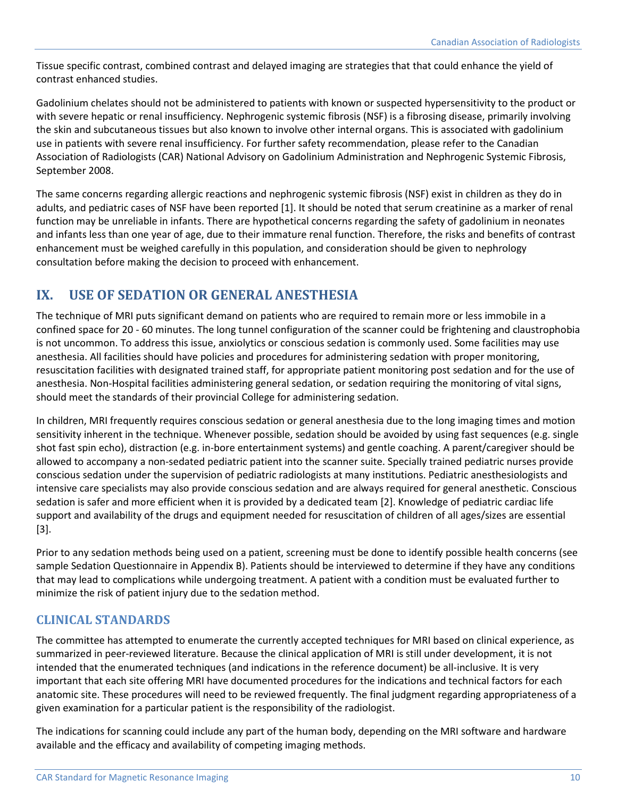Tissue specific contrast, combined contrast and delayed imaging are strategies that that could enhance the yield of contrast enhanced studies.

Gadolinium chelates should not be administered to patients with known or suspected hypersensitivity to the product or with severe hepatic or renal insufficiency. Nephrogenic systemic fibrosis (NSF) is a fibrosing disease, primarily involving the skin and subcutaneous tissues but also known to involve other internal organs. This is associated with gadolinium use in patients with severe renal insufficiency. For further safety recommendation, please refer to the Canadian Association of Radiologists (CAR) National Advisory on Gadolinium Administration and Nephrogenic Systemic Fibrosis, September 2008.

The same concerns regarding allergic reactions and nephrogenic systemic fibrosis (NSF) exist in children as they do in adults, and pediatric cases of NSF have been reported [1]. It should be noted that serum creatinine as a marker of renal function may be unreliable in infants. There are hypothetical concerns regarding the safety of gadolinium in neonates and infants less than one year of age, due to their immature renal function. Therefore, the risks and benefits of contrast enhancement must be weighed carefully in this population, and consideration should be given to nephrology consultation before making the decision to proceed with enhancement.

# <span id="page-9-0"></span>**IX. USE OF SEDATION OR GENERAL ANESTHESIA**

The technique of MRI puts significant demand on patients who are required to remain more or less immobile in a confined space for 20 - 60 minutes. The long tunnel configuration of the scanner could be frightening and claustrophobia is not uncommon. To address this issue, anxiolytics or conscious sedation is commonly used. Some facilities may use anesthesia. All facilities should have policies and procedures for administering sedation with proper monitoring, resuscitation facilities with designated trained staff, for appropriate patient monitoring post sedation and for the use of anesthesia. Non-Hospital facilities administering general sedation, or sedation requiring the monitoring of vital signs, should meet the standards of their provincial College for administering sedation.

In children, MRI frequently requires conscious sedation or general anesthesia due to the long imaging times and motion sensitivity inherent in the technique. Whenever possible, sedation should be avoided by using fast sequences (e.g. single shot fast spin echo), distraction (e.g. in-bore entertainment systems) and gentle coaching. A parent/caregiver should be allowed to accompany a non-sedated pediatric patient into the scanner suite. Specially trained pediatric nurses provide conscious sedation under the supervision of pediatric radiologists at many institutions. Pediatric anesthesiologists and intensive care specialists may also provide conscious sedation and are always required for general anesthetic. Conscious sedation is safer and more efficient when it is provided by a dedicated team [2]. Knowledge of pediatric cardiac life support and availability of the drugs and equipment needed for resuscitation of children of all ages/sizes are essential [3].

Prior to any sedation methods being used on a patient, screening must be done to identify possible health concerns (see sample Sedation Questionnaire in Appendix B). Patients should be interviewed to determine if they have any conditions that may lead to complications while undergoing treatment. A patient with a condition must be evaluated further to minimize the risk of patient injury due to the sedation method.

# <span id="page-9-1"></span>**CLINICAL STANDARDS**

The committee has attempted to enumerate the currently accepted techniques for MRI based on clinical experience, as summarized in peer-reviewed literature. Because the clinical application of MRI is still under development, it is not intended that the enumerated techniques (and indications in the reference document) be all-inclusive. It is very important that each site offering MRI have documented procedures for the indications and technical factors for each anatomic site. These procedures will need to be reviewed frequently. The final judgment regarding appropriateness of a given examination for a particular patient is the responsibility of the radiologist.

The indications for scanning could include any part of the human body, depending on the MRI software and hardware available and the efficacy and availability of competing imaging methods.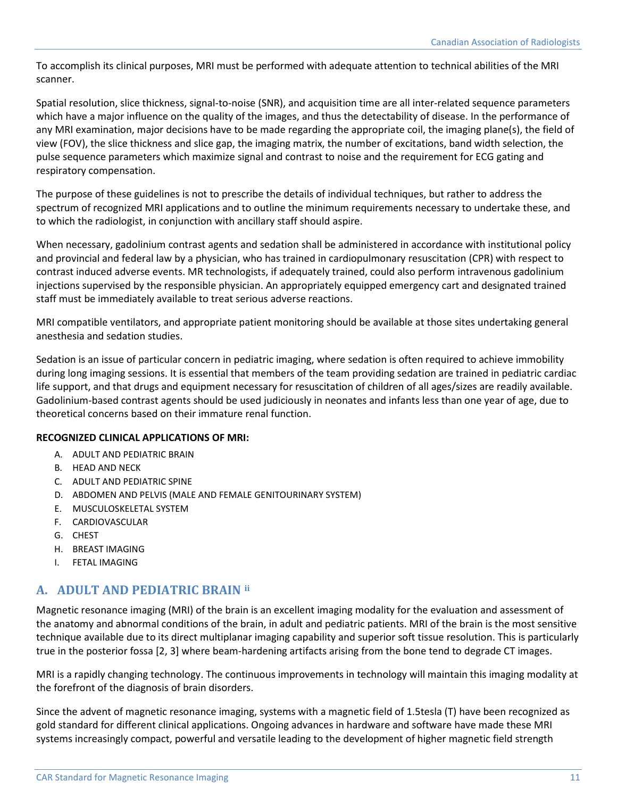To accomplish its clinical purposes, MRI must be performed with adequate attention to technical abilities of the MRI scanner.

Spatial resolution, slice thickness, signal-to-noise (SNR), and acquisition time are all inter-related sequence parameters which have a major influence on the quality of the images, and thus the detectability of disease. In the performance of any MRI examination, major decisions have to be made regarding the appropriate coil, the imaging plane(s), the field of view (FOV), the slice thickness and slice gap, the imaging matrix, the number of excitations, band width selection, the pulse sequence parameters which maximize signal and contrast to noise and the requirement for ECG gating and respiratory compensation.

The purpose of these guidelines is not to prescribe the details of individual techniques, but rather to address the spectrum of recognized MRI applications and to outline the minimum requirements necessary to undertake these, and to which the radiologist, in conjunction with ancillary staff should aspire.

When necessary, gadolinium contrast agents and sedation shall be administered in accordance with institutional policy and provincial and federal law by a physician, who has trained in cardiopulmonary resuscitation (CPR) with respect to contrast induced adverse events. MR technologists, if adequately trained, could also perform intravenous gadolinium injections supervised by the responsible physician. An appropriately equipped emergency cart and designated trained staff must be immediately available to treat serious adverse reactions.

MRI compatible ventilators, and appropriate patient monitoring should be available at those sites undertaking general anesthesia and sedation studies.

Sedation is an issue of particular concern in pediatric imaging, where sedation is often required to achieve immobility during long imaging sessions. It is essential that members of the team providing sedation are trained in pediatric cardiac life support, and that drugs and equipment necessary for resuscitation of children of all ages/sizes are readily available. Gadolinium-based contrast agents should be used judiciously in neonates and infants less than one year of age, due to theoretical concerns based on their immature renal function.

#### **RECOGNIZED CLINICAL APPLICATIONS OF MRI:**

- A. ADULT AND PEDIATRIC BRAIN
- B. HEAD AND NECK
- C. ADULT AND PEDIATRIC SPINE
- D. ABDOMEN AND PELVIS (MALE AND FEMALE GENITOURINARY SYSTEM)
- E. MUSCULOSKELETAL SYSTEM
- F. CARDIOVASCULAR
- G. CHEST
- H. BREAST IMAGING
- <span id="page-10-0"></span>I. FETAL IMAGING

#### **A. ADULT AND PEDIATRIC BRAIN [ii](#page-36-2)**

Magnetic resonance imaging (MRI) of the brain is an excellent imaging modality for the evaluation and assessment of the anatomy and abnormal conditions of the brain, in adult and pediatric patients. MRI of the brain is the most sensitive technique available due to its direct multiplanar imaging capability and superior soft tissue resolution. This is particularly true in the posterior fossa [2, 3] where beam-hardening artifacts arising from the bone tend to degrade CT images.

MRI is a rapidly changing technology. The continuous improvements in technology will maintain this imaging modality at the forefront of the diagnosis of brain disorders.

Since the advent of magnetic resonance imaging, systems with a magnetic field of 1.5tesla (T) have been recognized as gold standard for different clinical applications. Ongoing advances in hardware and software have made these MRI systems increasingly compact, powerful and versatile leading to the development of higher magnetic field strength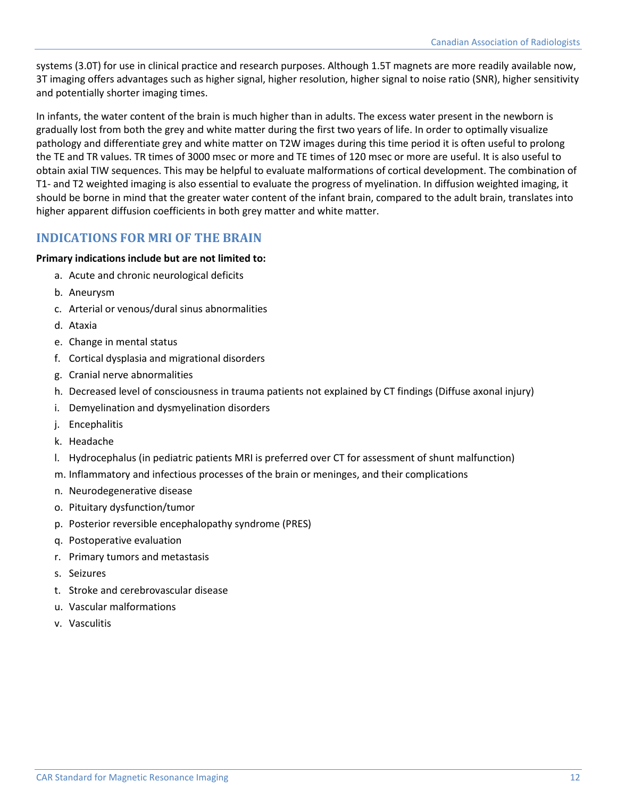systems (3.0T) for use in clinical practice and research purposes. Although 1.5T magnets are more readily available now, 3T imaging offers advantages such as higher signal, higher resolution, higher signal to noise ratio (SNR), higher sensitivity and potentially shorter imaging times.

In infants, the water content of the brain is much higher than in adults. The excess water present in the newborn is gradually lost from both the grey and white matter during the first two years of life. In order to optimally visualize pathology and differentiate grey and white matter on T2W images during this time period it is often useful to prolong the TE and TR values. TR times of 3000 msec or more and TE times of 120 msec or more are useful. It is also useful to obtain axial TIW sequences. This may be helpful to evaluate malformations of cortical development. The combination of T1- and T2 weighted imaging is also essential to evaluate the progress of myelination. In diffusion weighted imaging, it should be borne in mind that the greater water content of the infant brain, compared to the adult brain, translates into higher apparent diffusion coefficients in both grey matter and white matter.

#### <span id="page-11-0"></span>**INDICATIONS FOR MRI OF THE BRAIN**

#### **Primary indications include but are not limited to:**

- a. Acute and chronic neurological deficits
- b. Aneurysm
- c. Arterial or venous/dural sinus abnormalities
- d. Ataxia
- e. Change in mental status
- f. Cortical dysplasia and migrational disorders
- g. Cranial nerve abnormalities
- h. Decreased level of consciousness in trauma patients not explained by CT findings (Diffuse axonal injury)
- i. Demyelination and dysmyelination disorders
- j. Encephalitis
- k. Headache
- l. Hydrocephalus (in pediatric patients MRI is preferred over CT for assessment of shunt malfunction)
- m. Inflammatory and infectious processes of the brain or meninges, and their complications
- n. Neurodegenerative disease
- o. Pituitary dysfunction/tumor
- p. Posterior reversible encephalopathy syndrome (PRES)
- q. Postoperative evaluation
- r. Primary tumors and metastasis
- s. Seizures
- t. Stroke and cerebrovascular disease
- u. Vascular malformations
- v. Vasculitis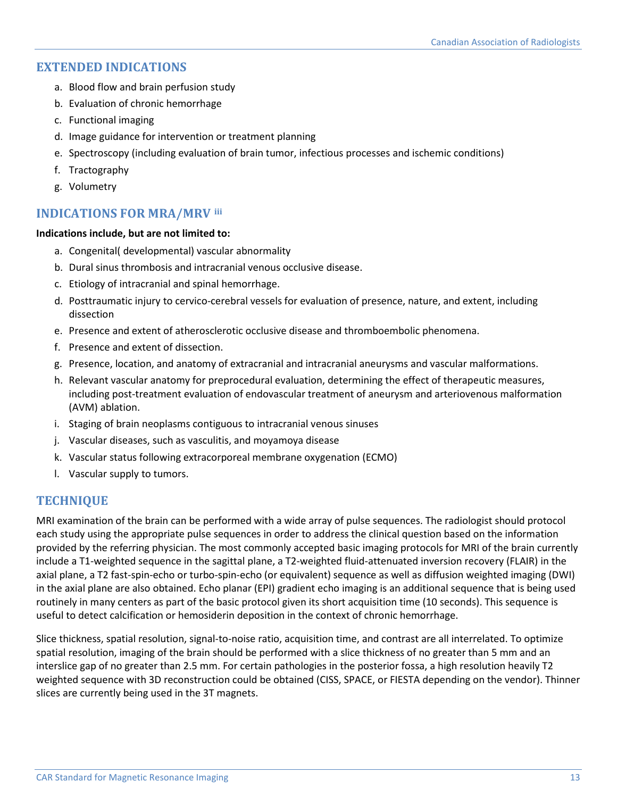## <span id="page-12-0"></span>**EXTENDED INDICATIONS**

- a. Blood flow and brain perfusion study
- b. Evaluation of chronic hemorrhage
- c. Functional imaging
- d. Image guidance for intervention or treatment planning
- e. Spectroscopy (including evaluation of brain tumor, infectious processes and ischemic conditions)
- f. Tractography
- g. Volumetry

## <span id="page-12-1"></span>**INDICATIONS FOR MRA/MRV [iii](#page-36-3)**

#### **Indications include, but are not limited to:**

- a. Congenital( developmental) vascular abnormality
- b. Dural sinus thrombosis and intracranial venous occlusive disease.
- c. Etiology of intracranial and spinal hemorrhage.
- d. Posttraumatic injury to cervico-cerebral vessels for evaluation of presence, nature, and extent, including dissection
- e. Presence and extent of atherosclerotic occlusive disease and thromboembolic phenomena.
- f. Presence and extent of dissection.
- g. Presence, location, and anatomy of extracranial and intracranial aneurysms and vascular malformations.
- h. Relevant vascular anatomy for preprocedural evaluation, determining the effect of therapeutic measures, including post-treatment evaluation of endovascular treatment of aneurysm and arteriovenous malformation (AVM) ablation.
- i. Staging of brain neoplasms contiguous to intracranial venous sinuses
- j. Vascular diseases, such as vasculitis, and moyamoya disease
- k. Vascular status following extracorporeal membrane oxygenation (ECMO)
- l. Vascular supply to tumors.

## <span id="page-12-2"></span>**TECHNIQUE**

MRI examination of the brain can be performed with a wide array of pulse sequences. The radiologist should protocol each study using the appropriate pulse sequences in order to address the clinical question based on the information provided by the referring physician. The most commonly accepted basic imaging protocols for MRI of the brain currently include a T1-weighted sequence in the sagittal plane, a T2-weighted fluid-attenuated inversion recovery (FLAIR) in the axial plane, a T2 fast-spin-echo or turbo-spin-echo (or equivalent) sequence as well as diffusion weighted imaging (DWI) in the axial plane are also obtained. Echo planar (EPI) gradient echo imaging is an additional sequence that is being used routinely in many centers as part of the basic protocol given its short acquisition time (10 seconds). This sequence is useful to detect calcification or hemosiderin deposition in the context of chronic hemorrhage.

Slice thickness, spatial resolution, signal-to-noise ratio, acquisition time, and contrast are all interrelated. To optimize spatial resolution, imaging of the brain should be performed with a slice thickness of no greater than 5 mm and an interslice gap of no greater than 2.5 mm. For certain pathologies in the posterior fossa, a high resolution heavily T2 weighted sequence with 3D reconstruction could be obtained (CISS, SPACE, or FIESTA depending on the vendor). Thinner slices are currently being used in the 3T magnets.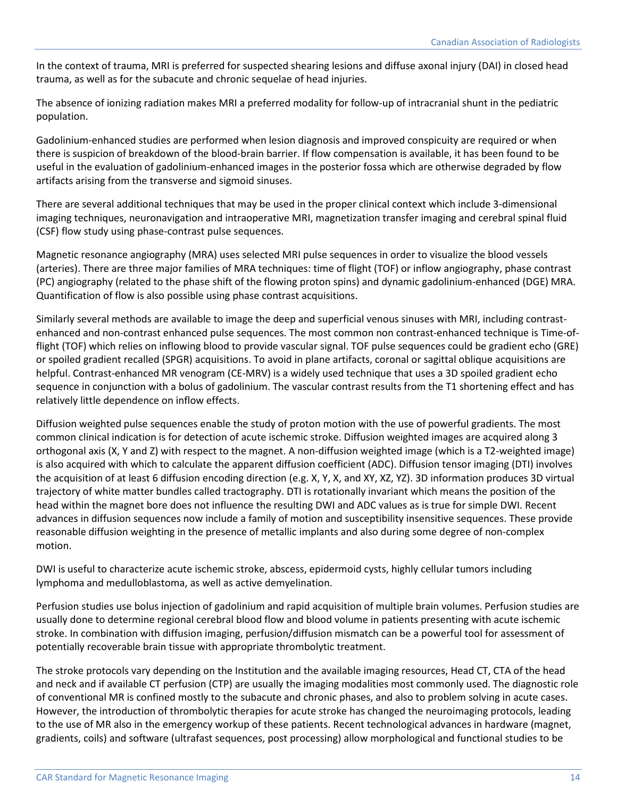In the context of trauma, MRI is preferred for suspected shearing lesions and diffuse axonal injury (DAI) in closed head trauma, as well as for the subacute and chronic sequelae of head injuries.

The absence of ionizing radiation makes MRI a preferred modality for follow-up of intracranial shunt in the pediatric population.

Gadolinium-enhanced studies are performed when lesion diagnosis and improved conspicuity are required or when there is suspicion of breakdown of the blood-brain barrier. If flow compensation is available, it has been found to be useful in the evaluation of gadolinium-enhanced images in the posterior fossa which are otherwise degraded by flow artifacts arising from the transverse and sigmoid sinuses.

There are several additional techniques that may be used in the proper clinical context which include 3-dimensional imaging techniques, neuronavigation and intraoperative MRI, magnetization transfer imaging and cerebral spinal fluid (CSF) flow study using phase-contrast pulse sequences.

Magnetic resonance angiography (MRA) uses selected MRI pulse sequences in order to visualize the blood vessels (arteries). There are three major families of MRA techniques: time of flight (TOF) or inflow angiography, phase contrast (PC) angiography (related to the phase shift of the flowing proton spins) and dynamic gadolinium-enhanced (DGE) MRA. Quantification of flow is also possible using phase contrast acquisitions.

Similarly several methods are available to image the deep and superficial venous sinuses with MRI, including contrastenhanced and non-contrast enhanced pulse sequences. The most common non contrast-enhanced technique is Time-offlight (TOF) which relies on inflowing blood to provide vascular signal. TOF pulse sequences could be gradient echo (GRE) or spoiled gradient recalled (SPGR) acquisitions. To avoid in plane artifacts, coronal or sagittal oblique acquisitions are helpful. Contrast-enhanced MR venogram (CE-MRV) is a widely used technique that uses a 3D spoiled gradient echo sequence in conjunction with a bolus of gadolinium. The vascular contrast results from the T1 shortening effect and has relatively little dependence on inflow effects.

Diffusion weighted pulse sequences enable the study of proton motion with the use of powerful gradients. The most common clinical indication is for detection of acute ischemic stroke. Diffusion weighted images are acquired along 3 orthogonal axis (X, Y and Z) with respect to the magnet. A non-diffusion weighted image (which is a T2-weighted image) is also acquired with which to calculate the apparent diffusion coefficient (ADC). Diffusion tensor imaging (DTI) involves the acquisition of at least 6 diffusion encoding direction (e.g. X, Y, X, and XY, XZ, YZ). 3D information produces 3D virtual trajectory of white matter bundles called tractography. DTI is rotationally invariant which means the position of the head within the magnet bore does not influence the resulting DWI and ADC values as is true for simple DWI. Recent advances in diffusion sequences now include a family of motion and susceptibility insensitive sequences. These provide reasonable diffusion weighting in the presence of metallic implants and also during some degree of non-complex motion.

DWI is useful to characterize acute ischemic stroke, abscess, epidermoid cysts, highly cellular tumors including lymphoma and medulloblastoma, as well as active demyelination.

Perfusion studies use bolus injection of gadolinium and rapid acquisition of multiple brain volumes. Perfusion studies are usually done to determine regional cerebral blood flow and blood volume in patients presenting with acute ischemic stroke. In combination with diffusion imaging, perfusion/diffusion mismatch can be a powerful tool for assessment of potentially recoverable brain tissue with appropriate thrombolytic treatment.

The stroke protocols vary depending on the Institution and the available imaging resources, Head CT, CTA of the head and neck and if available CT perfusion (CTP) are usually the imaging modalities most commonly used. The diagnostic role of conventional MR is confined mostly to the subacute and chronic phases, and also to problem solving in acute cases. However, the introduction of thrombolytic therapies for acute stroke has changed the neuroimaging protocols, leading to the use of MR also in the emergency workup of these patients. Recent technological advances in hardware (magnet, gradients, coils) and software (ultrafast sequences, post processing) allow morphological and functional studies to be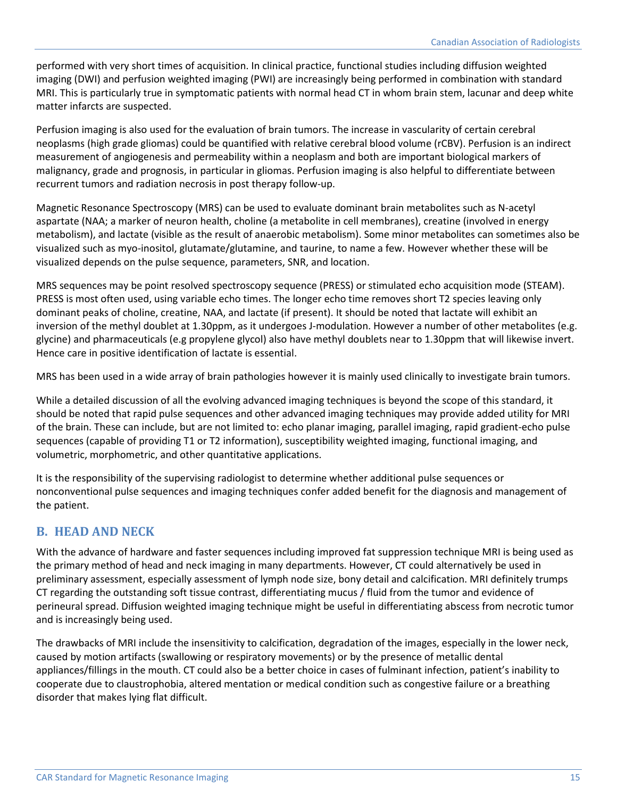performed with very short times of acquisition. In clinical practice, functional studies including diffusion weighted imaging (DWI) and perfusion weighted imaging (PWI) are increasingly being performed in combination with standard MRI. This is particularly true in symptomatic patients with normal head CT in whom brain stem, lacunar and deep white matter infarcts are suspected.

Perfusion imaging is also used for the evaluation of brain tumors. The increase in vascularity of certain cerebral neoplasms (high grade gliomas) could be quantified with relative cerebral blood volume (rCBV). Perfusion is an indirect measurement of angiogenesis and permeability within a neoplasm and both are important biological markers of malignancy, grade and prognosis, in particular in gliomas. Perfusion imaging is also helpful to differentiate between recurrent tumors and radiation necrosis in post therapy follow-up.

Magnetic Resonance Spectroscopy (MRS) can be used to evaluate dominant brain metabolites such as N-acetyl aspartate (NAA; a marker of neuron health, choline (a metabolite in cell membranes), creatine (involved in energy metabolism), and lactate (visible as the result of anaerobic metabolism). Some minor metabolites can sometimes also be visualized such as myo-inositol, glutamate/glutamine, and taurine, to name a few. However whether these will be visualized depends on the pulse sequence, parameters, SNR, and location.

MRS sequences may be point resolved spectroscopy sequence (PRESS) or stimulated echo acquisition mode (STEAM). PRESS is most often used, using variable echo times. The longer echo time removes short T2 species leaving only dominant peaks of choline, creatine, NAA, and lactate (if present). It should be noted that lactate will exhibit an inversion of the methyl doublet at 1.30ppm, as it undergoes J-modulation. However a number of other metabolites (e.g. glycine) and pharmaceuticals (e.g propylene glycol) also have methyl doublets near to 1.30ppm that will likewise invert. Hence care in positive identification of lactate is essential.

MRS has been used in a wide array of brain pathologies however it is mainly used clinically to investigate brain tumors.

While a detailed discussion of all the evolving advanced imaging techniques is beyond the scope of this standard, it should be noted that rapid pulse sequences and other advanced imaging techniques may provide added utility for MRI of the brain. These can include, but are not limited to: echo planar imaging, parallel imaging, rapid gradient-echo pulse sequences (capable of providing T1 or T2 information), susceptibility weighted imaging, functional imaging, and volumetric, morphometric, and other quantitative applications.

It is the responsibility of the supervising radiologist to determine whether additional pulse sequences or nonconventional pulse sequences and imaging techniques confer added benefit for the diagnosis and management of the patient.

## <span id="page-14-0"></span>**B. HEAD AND NECK**

With the advance of hardware and faster sequences including improved fat suppression technique MRI is being used as the primary method of head and neck imaging in many departments. However, CT could alternatively be used in preliminary assessment, especially assessment of lymph node size, bony detail and calcification. MRI definitely trumps CT regarding the outstanding soft tissue contrast, differentiating mucus / fluid from the tumor and evidence of perineural spread. Diffusion weighted imaging technique might be useful in differentiating abscess from necrotic tumor and is increasingly being used.

The drawbacks of MRI include the insensitivity to calcification, degradation of the images, especially in the lower neck, caused by motion artifacts (swallowing or respiratory movements) or by the presence of metallic dental appliances/fillings in the mouth. CT could also be a better choice in cases of fulminant infection, patient's inability to cooperate due to claustrophobia, altered mentation or medical condition such as congestive failure or a breathing disorder that makes lying flat difficult.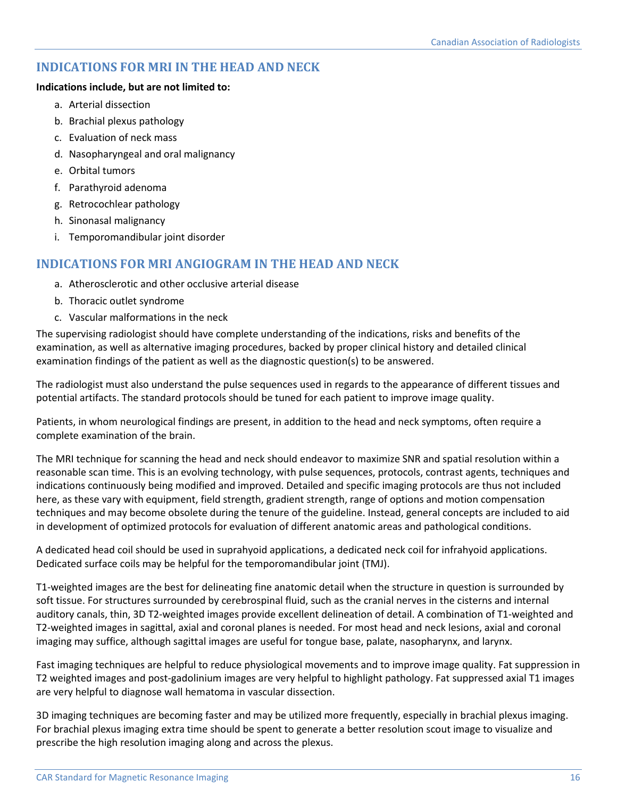## <span id="page-15-0"></span>**INDICATIONS FOR MRI IN THE HEAD AND NECK**

#### **Indications include, but are not limited to:**

- a. Arterial dissection
- b. Brachial plexus pathology
- c. Evaluation of neck mass
- d. Nasopharyngeal and oral malignancy
- e. Orbital tumors
- f. Parathyroid adenoma
- g. Retrocochlear pathology
- h. Sinonasal malignancy
- i. Temporomandibular joint disorder

## <span id="page-15-1"></span>**INDICATIONS FOR MRI ANGIOGRAM IN THE HEAD AND NECK**

- a. Atherosclerotic and other occlusive arterial disease
- b. Thoracic outlet syndrome
- c. Vascular malformations in the neck

The supervising radiologist should have complete understanding of the indications, risks and benefits of the examination, as well as alternative imaging procedures, backed by proper clinical history and detailed clinical examination findings of the patient as well as the diagnostic question(s) to be answered.

The radiologist must also understand the pulse sequences used in regards to the appearance of different tissues and potential artifacts. The standard protocols should be tuned for each patient to improve image quality.

Patients, in whom neurological findings are present, in addition to the head and neck symptoms, often require a complete examination of the brain.

The MRI technique for scanning the head and neck should endeavor to maximize SNR and spatial resolution within a reasonable scan time. This is an evolving technology, with pulse sequences, protocols, contrast agents, techniques and indications continuously being modified and improved. Detailed and specific imaging protocols are thus not included here, as these vary with equipment, field strength, gradient strength, range of options and motion compensation techniques and may become obsolete during the tenure of the guideline. Instead, general concepts are included to aid in development of optimized protocols for evaluation of different anatomic areas and pathological conditions.

A dedicated head coil should be used in suprahyoid applications, a dedicated neck coil for infrahyoid applications. Dedicated surface coils may be helpful for the temporomandibular joint (TMJ).

T1-weighted images are the best for delineating fine anatomic detail when the structure in question is surrounded by soft tissue. For structures surrounded by cerebrospinal fluid, such as the cranial nerves in the cisterns and internal auditory canals, thin, 3D T2-weighted images provide excellent delineation of detail. A combination of T1-weighted and T2-weighted images in sagittal, axial and coronal planes is needed. For most head and neck lesions, axial and coronal imaging may suffice, although sagittal images are useful for tongue base, palate, nasopharynx, and larynx.

Fast imaging techniques are helpful to reduce physiological movements and to improve image quality. Fat suppression in T2 weighted images and post-gadolinium images are very helpful to highlight pathology. Fat suppressed axial T1 images are very helpful to diagnose wall hematoma in vascular dissection.

3D imaging techniques are becoming faster and may be utilized more frequently, especially in brachial plexus imaging. For brachial plexus imaging extra time should be spent to generate a better resolution scout image to visualize and prescribe the high resolution imaging along and across the plexus.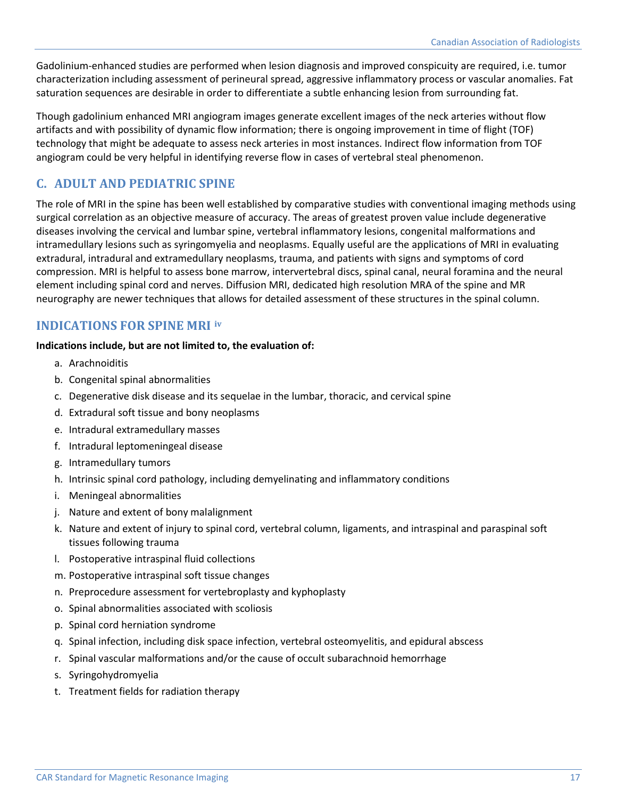Gadolinium-enhanced studies are performed when lesion diagnosis and improved conspicuity are required, i.e. tumor characterization including assessment of perineural spread, aggressive inflammatory process or vascular anomalies. Fat saturation sequences are desirable in order to differentiate a subtle enhancing lesion from surrounding fat.

Though gadolinium enhanced MRI angiogram images generate excellent images of the neck arteries without flow artifacts and with possibility of dynamic flow information; there is ongoing improvement in time of flight (TOF) technology that might be adequate to assess neck arteries in most instances. Indirect flow information from TOF angiogram could be very helpful in identifying reverse flow in cases of vertebral steal phenomenon.

## <span id="page-16-0"></span>**C. ADULT AND PEDIATRIC SPINE**

The role of MRI in the spine has been well established by comparative studies with conventional imaging methods using surgical correlation as an objective measure of accuracy. The areas of greatest proven value include degenerative diseases involving the cervical and lumbar spine, vertebral inflammatory lesions, congenital malformations and intramedullary lesions such as syringomyelia and neoplasms. Equally useful are the applications of MRI in evaluating extradural, intradural and extramedullary neoplasms, trauma, and patients with signs and symptoms of cord compression. MRI is helpful to assess bone marrow, intervertebral discs, spinal canal, neural foramina and the neural element including spinal cord and nerves. Diffusion MRI, dedicated high resolution MRA of the spine and MR neurography are newer techniques that allows for detailed assessment of these structures in the spinal column.

# <span id="page-16-1"></span>**INDICATIONS FOR SPINE MRI [iv](#page-36-4)**

#### **Indications include, but are not limited to, the evaluation of:**

- a. Arachnoiditis
- b. Congenital spinal abnormalities
- c. Degenerative disk disease and its sequelae in the lumbar, thoracic, and cervical spine
- d. Extradural soft tissue and bony neoplasms
- e. Intradural extramedullary masses
- f. Intradural leptomeningeal disease
- g. Intramedullary tumors
- h. Intrinsic spinal cord pathology, including demyelinating and inflammatory conditions
- i. Meningeal abnormalities
- j. Nature and extent of bony malalignment
- k. Nature and extent of injury to spinal cord, vertebral column, ligaments, and intraspinal and paraspinal soft tissues following trauma
- l. Postoperative intraspinal fluid collections
- m. Postoperative intraspinal soft tissue changes
- n. Preprocedure assessment for vertebroplasty and kyphoplasty
- o. Spinal abnormalities associated with scoliosis
- p. Spinal cord herniation syndrome
- q. Spinal infection, including disk space infection, vertebral osteomyelitis, and epidural abscess
- r. Spinal vascular malformations and/or the cause of occult subarachnoid hemorrhage
- s. Syringohydromyelia
- t. Treatment fields for radiation therapy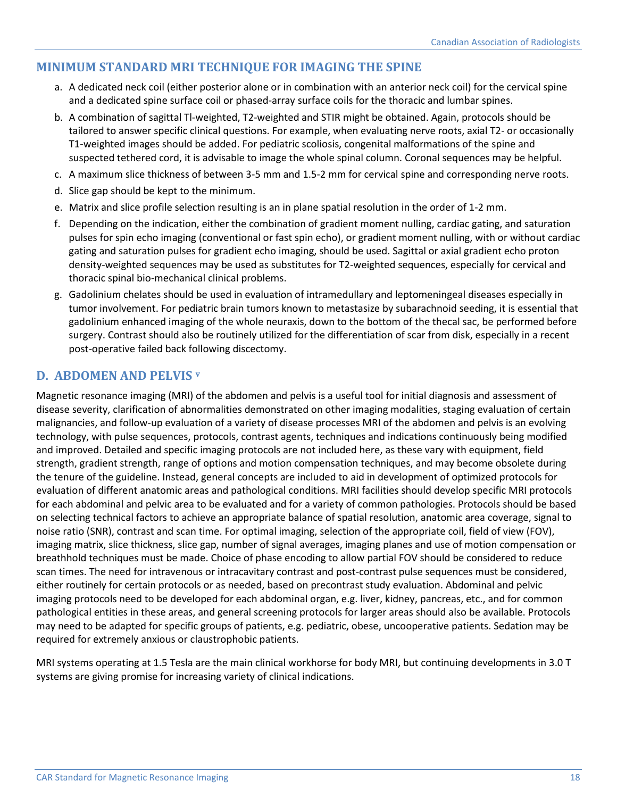## <span id="page-17-0"></span>**MINIMUM STANDARD MRI TECHNIQUE FOR IMAGING THE SPINE**

- a. A dedicated neck coil (either posterior alone or in combination with an anterior neck coil) for the cervical spine and a dedicated spine surface coil or phased-array surface coils for the thoracic and lumbar spines.
- b. A combination of sagittal Tl-weighted, T2-weighted and STIR might be obtained. Again, protocols should be tailored to answer specific clinical questions. For example, when evaluating nerve roots, axial T2- or occasionally T1-weighted images should be added. For pediatric scoliosis, congenital malformations of the spine and suspected tethered cord, it is advisable to image the whole spinal column. Coronal sequences may be helpful.
- c. A maximum slice thickness of between 3-5 mm and 1.5-2 mm for cervical spine and corresponding nerve roots.
- d. Slice gap should be kept to the minimum.
- e. Matrix and slice profile selection resulting is an in plane spatial resolution in the order of 1-2 mm.
- f. Depending on the indication, either the combination of gradient moment nulling, cardiac gating, and saturation pulses for spin echo imaging (conventional or fast spin echo), or gradient moment nulling, with or without cardiac gating and saturation pulses for gradient echo imaging, should be used. Sagittal or axial gradient echo proton density-weighted sequences may be used as substitutes for T2-weighted sequences, especially for cervical and thoracic spinal bio-mechanical clinical problems.
- g. Gadolinium chelates should be used in evaluation of intramedullary and leptomeningeal diseases especially in tumor involvement. For pediatric brain tumors known to metastasize by subarachnoid seeding, it is essential that gadolinium enhanced imaging of the whole neuraxis, down to the bottom of the thecal sac, be performed before surgery. Contrast should also be routinely utilized for the differentiation of scar from disk, especially in a recent post-operative failed back following discectomy.

## <span id="page-17-1"></span>**D. ABDOMEN AND PELVIS [v](#page-36-5)**

Magnetic resonance imaging (MRI) of the abdomen and pelvis is a useful tool for initial diagnosis and assessment of disease severity, clarification of abnormalities demonstrated on other imaging modalities, staging evaluation of certain malignancies, and follow-up evaluation of a variety of disease processes MRI of the abdomen and pelvis is an evolving technology, with pulse sequences, protocols, contrast agents, techniques and indications continuously being modified and improved. Detailed and specific imaging protocols are not included here, as these vary with equipment, field strength, gradient strength, range of options and motion compensation techniques, and may become obsolete during the tenure of the guideline. Instead, general concepts are included to aid in development of optimized protocols for evaluation of different anatomic areas and pathological conditions. MRI facilities should develop specific MRI protocols for each abdominal and pelvic area to be evaluated and for a variety of common pathologies. Protocols should be based on selecting technical factors to achieve an appropriate balance of spatial resolution, anatomic area coverage, signal to noise ratio (SNR), contrast and scan time. For optimal imaging, selection of the appropriate coil, field of view (FOV), imaging matrix, slice thickness, slice gap, number of signal averages, imaging planes and use of motion compensation or breathhold techniques must be made. Choice of phase encoding to allow partial FOV should be considered to reduce scan times. The need for intravenous or intracavitary contrast and post-contrast pulse sequences must be considered, either routinely for certain protocols or as needed, based on precontrast study evaluation. Abdominal and pelvic imaging protocols need to be developed for each abdominal organ, e.g. liver, kidney, pancreas, etc., and for common pathological entities in these areas, and general screening protocols for larger areas should also be available. Protocols may need to be adapted for specific groups of patients, e.g. pediatric, obese, uncooperative patients. Sedation may be required for extremely anxious or claustrophobic patients.

MRI systems operating at 1.5 Tesla are the main clinical workhorse for body MRI, but continuing developments in 3.0 T systems are giving promise for increasing variety of clinical indications.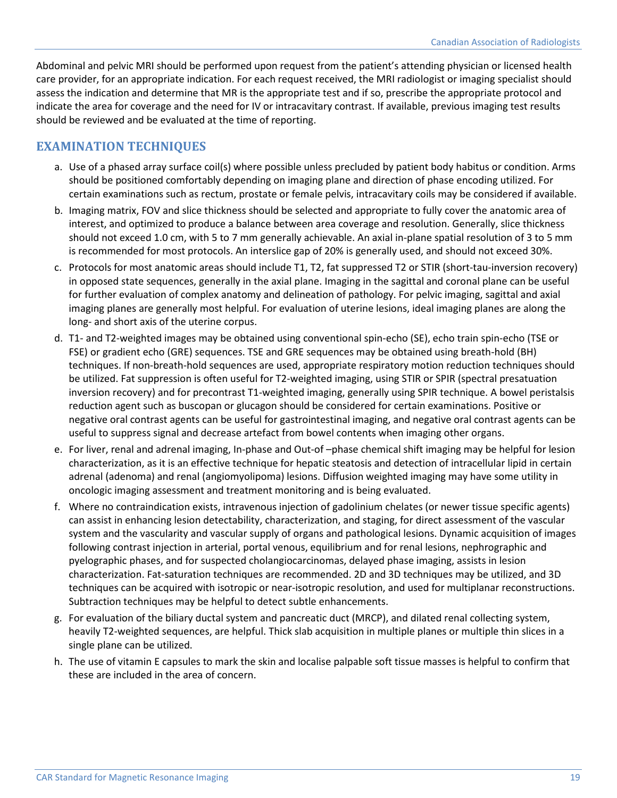Abdominal and pelvic MRI should be performed upon request from the patient's attending physician or licensed health care provider, for an appropriate indication. For each request received, the MRI radiologist or imaging specialist should assess the indication and determine that MR is the appropriate test and if so, prescribe the appropriate protocol and indicate the area for coverage and the need for IV or intracavitary contrast. If available, previous imaging test results should be reviewed and be evaluated at the time of reporting.

#### <span id="page-18-0"></span>**EXAMINATION TECHNIQUES**

- a. Use of a phased array surface coil(s) where possible unless precluded by patient body habitus or condition. Arms should be positioned comfortably depending on imaging plane and direction of phase encoding utilized. For certain examinations such as rectum, prostate or female pelvis, intracavitary coils may be considered if available.
- b. Imaging matrix, FOV and slice thickness should be selected and appropriate to fully cover the anatomic area of interest, and optimized to produce a balance between area coverage and resolution. Generally, slice thickness should not exceed 1.0 cm, with 5 to 7 mm generally achievable. An axial in-plane spatial resolution of 3 to 5 mm is recommended for most protocols. An interslice gap of 20% is generally used, and should not exceed 30%.
- c. Protocols for most anatomic areas should include T1, T2, fat suppressed T2 or STIR (short-tau-inversion recovery) in opposed state sequences, generally in the axial plane. Imaging in the sagittal and coronal plane can be useful for further evaluation of complex anatomy and delineation of pathology. For pelvic imaging, sagittal and axial imaging planes are generally most helpful. For evaluation of uterine lesions, ideal imaging planes are along the long- and short axis of the uterine corpus.
- d. T1- and T2-weighted images may be obtained using conventional spin-echo (SE), echo train spin-echo (TSE or FSE) or gradient echo (GRE) sequences. TSE and GRE sequences may be obtained using breath-hold (BH) techniques. If non-breath-hold sequences are used, appropriate respiratory motion reduction techniques should be utilized. Fat suppression is often useful for T2-weighted imaging, using STIR or SPIR (spectral presatuation inversion recovery) and for precontrast T1-weighted imaging, generally using SPIR technique. A bowel peristalsis reduction agent such as buscopan or glucagon should be considered for certain examinations. Positive or negative oral contrast agents can be useful for gastrointestinal imaging, and negative oral contrast agents can be useful to suppress signal and decrease artefact from bowel contents when imaging other organs.
- e. For liver, renal and adrenal imaging, In-phase and Out-of –phase chemical shift imaging may be helpful for lesion characterization, as it is an effective technique for hepatic steatosis and detection of intracellular lipid in certain adrenal (adenoma) and renal (angiomyolipoma) lesions. Diffusion weighted imaging may have some utility in oncologic imaging assessment and treatment monitoring and is being evaluated.
- f. Where no contraindication exists, intravenous injection of gadolinium chelates (or newer tissue specific agents) can assist in enhancing lesion detectability, characterization, and staging, for direct assessment of the vascular system and the vascularity and vascular supply of organs and pathological lesions. Dynamic acquisition of images following contrast injection in arterial, portal venous, equilibrium and for renal lesions, nephrographic and pyelographic phases, and for suspected cholangiocarcinomas, delayed phase imaging, assists in lesion characterization. Fat-saturation techniques are recommended. 2D and 3D techniques may be utilized, and 3D techniques can be acquired with isotropic or near-isotropic resolution, and used for multiplanar reconstructions. Subtraction techniques may be helpful to detect subtle enhancements.
- g. For evaluation of the biliary ductal system and pancreatic duct (MRCP), and dilated renal collecting system, heavily T2-weighted sequences, are helpful. Thick slab acquisition in multiple planes or multiple thin slices in a single plane can be utilized.
- h. The use of vitamin E capsules to mark the skin and localise palpable soft tissue masses is helpful to confirm that these are included in the area of concern.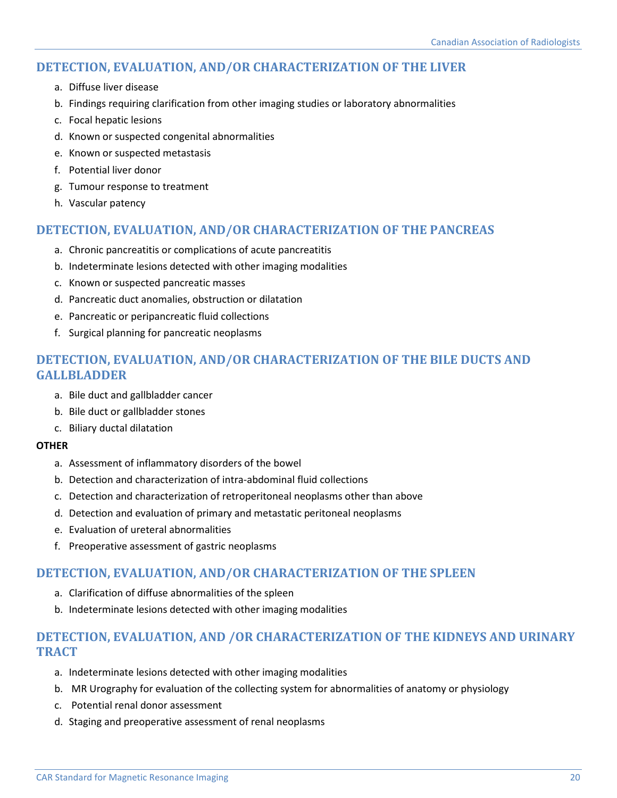## <span id="page-19-0"></span>**DETECTION, EVALUATION, AND/OR CHARACTERIZATION OF THE LIVER**

- a. Diffuse liver disease
- b. Findings requiring clarification from other imaging studies or laboratory abnormalities
- c. Focal hepatic lesions
- d. Known or suspected congenital abnormalities
- e. Known or suspected metastasis
- f. Potential liver donor
- g. Tumour response to treatment
- h. Vascular patency

#### <span id="page-19-1"></span>**DETECTION, EVALUATION, AND/OR CHARACTERIZATION OF THE PANCREAS**

- a. Chronic pancreatitis or complications of acute pancreatitis
- b. Indeterminate lesions detected with other imaging modalities
- c. Known or suspected pancreatic masses
- d. Pancreatic duct anomalies, obstruction or dilatation
- e. Pancreatic or peripancreatic fluid collections
- f. Surgical planning for pancreatic neoplasms

## <span id="page-19-2"></span>**DETECTION, EVALUATION, AND/OR CHARACTERIZATION OF THE BILE DUCTS AND GALLBLADDER**

- a. Bile duct and gallbladder cancer
- b. Bile duct or gallbladder stones
- c. Biliary ductal dilatation

#### **OTHER**

- a. Assessment of inflammatory disorders of the bowel
- b. Detection and characterization of intra-abdominal fluid collections
- c. Detection and characterization of retroperitoneal neoplasms other than above
- d. Detection and evaluation of primary and metastatic peritoneal neoplasms
- e. Evaluation of ureteral abnormalities
- f. Preoperative assessment of gastric neoplasms

## <span id="page-19-3"></span>**DETECTION, EVALUATION, AND/OR CHARACTERIZATION OF THE SPLEEN**

- a. Clarification of diffuse abnormalities of the spleen
- b. Indeterminate lesions detected with other imaging modalities

## <span id="page-19-4"></span>**DETECTION, EVALUATION, AND /OR CHARACTERIZATION OF THE KIDNEYS AND URINARY TRACT**

- a. Indeterminate lesions detected with other imaging modalities
- b. MR Urography for evaluation of the collecting system for abnormalities of anatomy or physiology
- c. Potential renal donor assessment
- d. Staging and preoperative assessment of renal neoplasms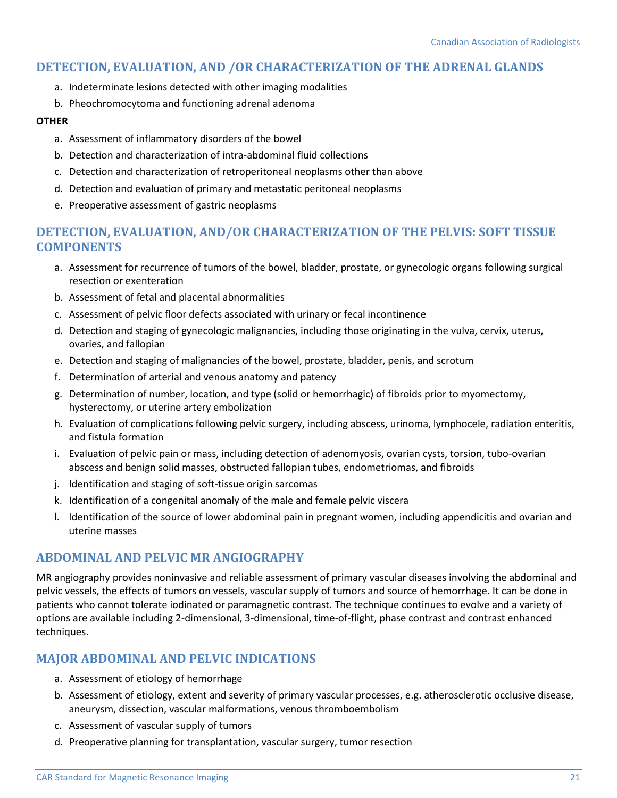#### <span id="page-20-0"></span>**DETECTION, EVALUATION, AND /OR CHARACTERIZATION OF THE ADRENAL GLANDS**

- a. Indeterminate lesions detected with other imaging modalities
- b. Pheochromocytoma and functioning adrenal adenoma

#### **OTHER**

- a. Assessment of inflammatory disorders of the bowel
- b. Detection and characterization of intra-abdominal fluid collections
- c. Detection and characterization of retroperitoneal neoplasms other than above
- d. Detection and evaluation of primary and metastatic peritoneal neoplasms
- e. Preoperative assessment of gastric neoplasms

## <span id="page-20-1"></span>**DETECTION, EVALUATION, AND/OR CHARACTERIZATION OF THE PELVIS: SOFT TISSUE COMPONENTS**

- a. Assessment for recurrence of tumors of the bowel, bladder, prostate, or gynecologic organs following surgical resection or exenteration
- b. Assessment of fetal and placental abnormalities
- c. Assessment of pelvic floor defects associated with urinary or fecal incontinence
- d. Detection and staging of gynecologic malignancies, including those originating in the vulva, cervix, uterus, ovaries, and fallopian
- e. Detection and staging of malignancies of the bowel, prostate, bladder, penis, and scrotum
- f. Determination of arterial and venous anatomy and patency
- g. Determination of number, location, and type (solid or hemorrhagic) of fibroids prior to myomectomy, hysterectomy, or uterine artery embolization
- h. Evaluation of complications following pelvic surgery, including abscess, urinoma, lymphocele, radiation enteritis, and fistula formation
- i. Evaluation of pelvic pain or mass, including detection of adenomyosis, ovarian cysts, torsion, tubo-ovarian abscess and benign solid masses, obstructed fallopian tubes, endometriomas, and fibroids
- j. Identification and staging of soft-tissue origin sarcomas
- k. Identification of a congenital anomaly of the male and female pelvic viscera
- l. Identification of the source of lower abdominal pain in pregnant women, including appendicitis and ovarian and uterine masses

#### <span id="page-20-2"></span>**ABDOMINAL AND PELVIC MR ANGIOGRAPHY**

MR angiography provides noninvasive and reliable assessment of primary vascular diseases involving the abdominal and pelvic vessels, the effects of tumors on vessels, vascular supply of tumors and source of hemorrhage. It can be done in patients who cannot tolerate iodinated or paramagnetic contrast. The technique continues to evolve and a variety of options are available including 2-dimensional, 3-dimensional, time-of-flight, phase contrast and contrast enhanced techniques.

## <span id="page-20-3"></span>**MAJOR ABDOMINAL AND PELVIC INDICATIONS**

- a. Assessment of etiology of hemorrhage
- b. Assessment of etiology, extent and severity of primary vascular processes, e.g. atherosclerotic occlusive disease, aneurysm, dissection, vascular malformations, venous thromboembolism
- c. Assessment of vascular supply of tumors
- d. Preoperative planning for transplantation, vascular surgery, tumor resection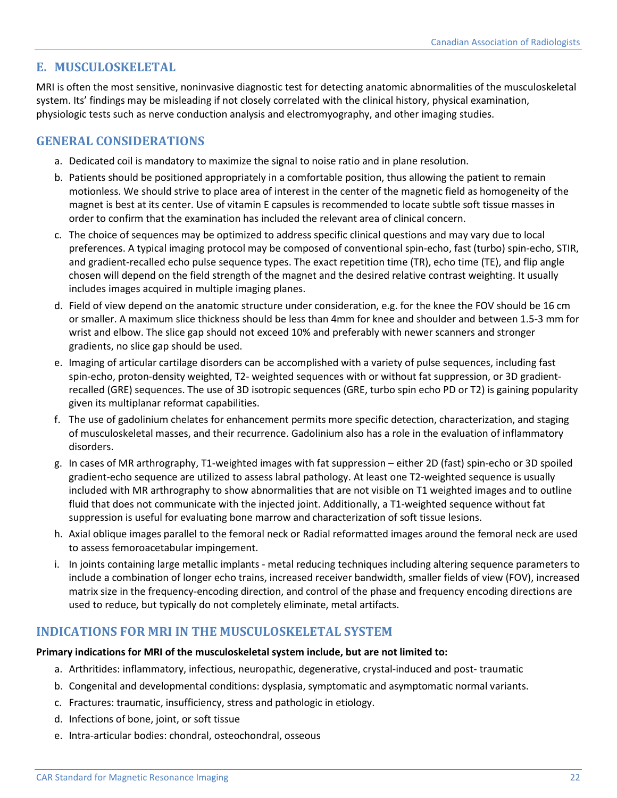## <span id="page-21-0"></span>**E. MUSCULOSKELETAL**

MRI is often the most sensitive, noninvasive diagnostic test for detecting anatomic abnormalities of the musculoskeletal system. Its' findings may be misleading if not closely correlated with the clinical history, physical examination, physiologic tests such as nerve conduction analysis and electromyography, and other imaging studies.

#### <span id="page-21-1"></span>**GENERAL CONSIDERATIONS**

- a. Dedicated coil is mandatory to maximize the signal to noise ratio and in plane resolution.
- b. Patients should be positioned appropriately in a comfortable position, thus allowing the patient to remain motionless. We should strive to place area of interest in the center of the magnetic field as homogeneity of the magnet is best at its center. Use of vitamin E capsules is recommended to locate subtle soft tissue masses in order to confirm that the examination has included the relevant area of clinical concern.
- c. The choice of sequences may be optimized to address specific clinical questions and may vary due to local preferences. A typical imaging protocol may be composed of conventional spin-echo, fast (turbo) spin-echo, STIR, and gradient-recalled echo pulse sequence types. The exact repetition time (TR), echo time (TE), and flip angle chosen will depend on the field strength of the magnet and the desired relative contrast weighting. It usually includes images acquired in multiple imaging planes.
- d. Field of view depend on the anatomic structure under consideration, e.g. for the knee the FOV should be 16 cm or smaller. A maximum slice thickness should be less than 4mm for knee and shoulder and between 1.5-3 mm for wrist and elbow. The slice gap should not exceed 10% and preferably with newer scanners and stronger gradients, no slice gap should be used.
- e. Imaging of articular cartilage disorders can be accomplished with a variety of pulse sequences, including fast spin-echo, proton-density weighted, T2- weighted sequences with or without fat suppression, or 3D gradientrecalled (GRE) sequences. The use of 3D isotropic sequences (GRE, turbo spin echo PD or T2) is gaining popularity given its multiplanar reformat capabilities.
- f. The use of gadolinium chelates for enhancement permits more specific detection, characterization, and staging of musculoskeletal masses, and their recurrence. Gadolinium also has a role in the evaluation of inflammatory disorders.
- g. In cases of MR arthrography, T1-weighted images with fat suppression either 2D (fast) spin-echo or 3D spoiled gradient-echo sequence are utilized to assess labral pathology. At least one T2-weighted sequence is usually included with MR arthrography to show abnormalities that are not visible on T1 weighted images and to outline fluid that does not communicate with the injected joint. Additionally, a T1-weighted sequence without fat suppression is useful for evaluating bone marrow and characterization of soft tissue lesions.
- h. Axial oblique images parallel to the femoral neck or Radial reformatted images around the femoral neck are used to assess femoroacetabular impingement.
- i. In joints containing large metallic implants metal reducing techniques including altering sequence parameters to include a combination of longer echo trains, increased receiver bandwidth, smaller fields of view (FOV), increased matrix size in the frequency-encoding direction, and control of the phase and frequency encoding directions are used to reduce, but typically do not completely eliminate, metal artifacts.

#### <span id="page-21-2"></span>**INDICATIONS FOR MRI IN THE MUSCULOSKELETAL SYSTEM**

#### **Primary indications for MRI of the musculoskeletal system include, but are not limited to:**

- a. Arthritides: inflammatory, infectious, neuropathic, degenerative, crystal-induced and post- traumatic
- b. Congenital and developmental conditions: dysplasia, symptomatic and asymptomatic normal variants.
- c. Fractures: traumatic, insufficiency, stress and pathologic in etiology.
- d. Infections of bone, joint, or soft tissue
- e. Intra-articular bodies: chondral, osteochondral, osseous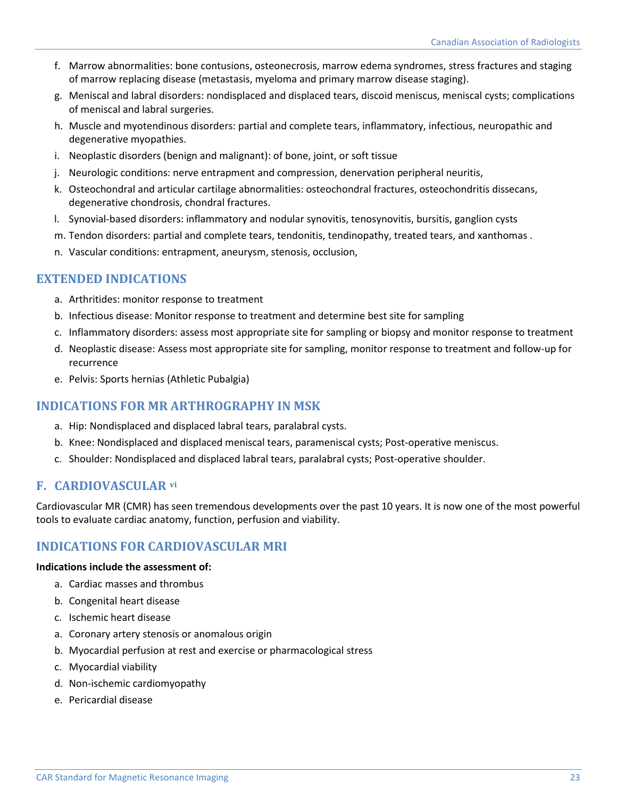- f. Marrow abnormalities: bone contusions, osteonecrosis, marrow edema syndromes, stress fractures and staging of marrow replacing disease (metastasis, myeloma and primary marrow disease staging).
- g. Meniscal and labral disorders: nondisplaced and displaced tears, discoid meniscus, meniscal cysts; complications of meniscal and labral surgeries.
- h. Muscle and myotendinous disorders: partial and complete tears, inflammatory, infectious, neuropathic and degenerative myopathies.
- i. Neoplastic disorders (benign and malignant): of bone, joint, or soft tissue
- j. Neurologic conditions: nerve entrapment and compression, denervation peripheral neuritis,
- k. Osteochondral and articular cartilage abnormalities: osteochondral fractures, osteochondritis dissecans, degenerative chondrosis, chondral fractures.
- l. Synovial-based disorders: inflammatory and nodular synovitis, tenosynovitis, bursitis, ganglion cysts
- m. Tendon disorders: partial and complete tears, tendonitis, tendinopathy, treated tears, and xanthomas .
- n. Vascular conditions: entrapment, aneurysm, stenosis, occlusion,

#### <span id="page-22-0"></span>**EXTENDED INDICATIONS**

- a. Arthritides: monitor response to treatment
- b. Infectious disease: Monitor response to treatment and determine best site for sampling
- c. Inflammatory disorders: assess most appropriate site for sampling or biopsy and monitor response to treatment
- d. Neoplastic disease: Assess most appropriate site for sampling, monitor response to treatment and follow-up for recurrence
- e. Pelvis: Sports hernias (Athletic Pubalgia)

#### <span id="page-22-1"></span>**INDICATIONS FOR MR ARTHROGRAPHY IN MSK**

- a. Hip: Nondisplaced and displaced labral tears, paralabral cysts.
- b. Knee: Nondisplaced and displaced meniscal tears, parameniscal cysts; Post-operative meniscus.
- c. Shoulder: Nondisplaced and displaced labral tears, paralabral cysts; Post-operative shoulder.

## <span id="page-22-2"></span>**F. CARDIOVASCULAR [vi](#page-37-0)**

Cardiovascular MR (CMR) has seen tremendous developments over the past 10 years. It is now one of the most powerful tools to evaluate cardiac anatomy, function, perfusion and viability.

## <span id="page-22-3"></span>**INDICATIONS FOR CARDIOVASCULAR MRI**

#### **Indications include the assessment of:**

- a. Cardiac masses and thrombus
- b. Congenital heart disease
- c. Ischemic heart disease
- a. Coronary artery stenosis or anomalous origin
- b. Myocardial perfusion at rest and exercise or pharmacological stress
- c. Myocardial viability
- d. Non-ischemic cardiomyopathy
- e. Pericardial disease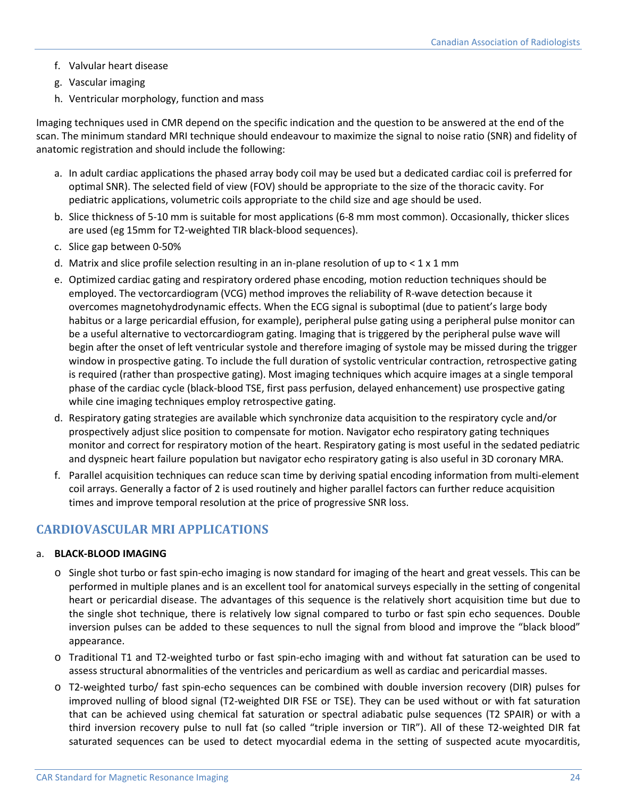- f. Valvular heart disease
- g. Vascular imaging
- h. Ventricular morphology, function and mass

Imaging techniques used in CMR depend on the specific indication and the question to be answered at the end of the scan. The minimum standard MRI technique should endeavour to maximize the signal to noise ratio (SNR) and fidelity of anatomic registration and should include the following:

- a. In adult cardiac applications the phased array body coil may be used but a dedicated cardiac coil is preferred for optimal SNR). The selected field of view (FOV) should be appropriate to the size of the thoracic cavity. For pediatric applications, volumetric coils appropriate to the child size and age should be used.
- b. Slice thickness of 5-10 mm is suitable for most applications (6-8 mm most common). Occasionally, thicker slices are used (eg 15mm for T2-weighted TIR black-blood sequences).
- c. Slice gap between 0-50%
- d. Matrix and slice profile selection resulting in an in-plane resolution of up to  $< 1 \times 1$  mm
- e. Optimized cardiac gating and respiratory ordered phase encoding, motion reduction techniques should be employed. The vectorcardiogram (VCG) method improves the reliability of R-wave detection because it overcomes magnetohydrodynamic effects. When the ECG signal is suboptimal (due to patient's large body habitus or a large pericardial effusion, for example), peripheral pulse gating using a peripheral pulse monitor can be a useful alternative to vectorcardiogram gating. Imaging that is triggered by the peripheral pulse wave will begin after the onset of left ventricular systole and therefore imaging of systole may be missed during the trigger window in prospective gating. To include the full duration of systolic ventricular contraction, retrospective gating is required (rather than prospective gating). Most imaging techniques which acquire images at a single temporal phase of the cardiac cycle (black-blood TSE, first pass perfusion, delayed enhancement) use prospective gating while cine imaging techniques employ retrospective gating.
- d. Respiratory gating strategies are available which synchronize data acquisition to the respiratory cycle and/or prospectively adjust slice position to compensate for motion. Navigator echo respiratory gating techniques monitor and correct for respiratory motion of the heart. Respiratory gating is most useful in the sedated pediatric and dyspneic heart failure population but navigator echo respiratory gating is also useful in 3D coronary MRA.
- f. Parallel acquisition techniques can reduce scan time by deriving spatial encoding information from multi-element coil arrays. Generally a factor of 2 is used routinely and higher parallel factors can further reduce acquisition times and improve temporal resolution at the price of progressive SNR loss.

## <span id="page-23-0"></span>**CARDIOVASCULAR MRI APPLICATIONS**

#### a. **BLACK-BLOOD IMAGING**

- o Single shot turbo or fast spin-echo imaging is now standard for imaging of the heart and great vessels. This can be performed in multiple planes and is an excellent tool for anatomical surveys especially in the setting of congenital heart or pericardial disease. The advantages of this sequence is the relatively short acquisition time but due to the single shot technique, there is relatively low signal compared to turbo or fast spin echo sequences. Double inversion pulses can be added to these sequences to null the signal from blood and improve the "black blood" appearance.
- o Traditional T1 and T2-weighted turbo or fast spin-echo imaging with and without fat saturation can be used to assess structural abnormalities of the ventricles and pericardium as well as cardiac and pericardial masses.
- o T2-weighted turbo/ fast spin-echo sequences can be combined with double inversion recovery (DIR) pulses for improved nulling of blood signal (T2-weighted DIR FSE or TSE). They can be used without or with fat saturation that can be achieved using chemical fat saturation or spectral adiabatic pulse sequences (T2 SPAIR) or with a third inversion recovery pulse to null fat (so called "triple inversion or TIR"). All of these T2-weighted DIR fat saturated sequences can be used to detect myocardial edema in the setting of suspected acute myocarditis,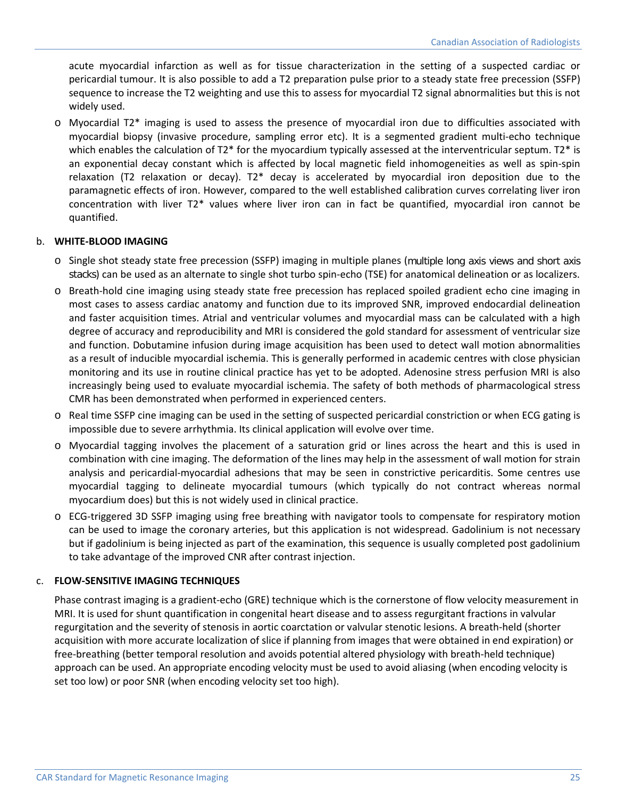acute myocardial infarction as well as for tissue characterization in the setting of a suspected cardiac or pericardial tumour. It is also possible to add a T2 preparation pulse prior to a steady state free precession (SSFP) sequence to increase the T2 weighting and use this to assess for myocardial T2 signal abnormalities but this is not widely used.

o Myocardial T2\* imaging is used to assess the presence of myocardial iron due to difficulties associated with myocardial biopsy (invasive procedure, sampling error etc). It is a segmented gradient multi-echo technique which enables the calculation of T2\* for the myocardium typically assessed at the interventricular septum. T2\* is an exponential decay constant which is affected by local magnetic field inhomogeneities as well as spin-spin relaxation (T2 relaxation or decay). T2\* decay is accelerated by myocardial iron deposition due to the paramagnetic effects of iron. However, compared to the well established calibration curves correlating liver iron concentration with liver T2\* values where liver iron can in fact be quantified, myocardial iron cannot be quantified.

#### b. **WHITE-BLOOD IMAGING**

- o Single shot steady state free precession (SSFP) imaging in multiple planes (multiple long axis views and short axis stacks) can be used as an alternate to single shot turbo spin-echo (TSE) for anatomical delineation or as localizers.
- o Breath-hold cine imaging using steady state free precession has replaced spoiled gradient echo cine imaging in most cases to assess cardiac anatomy and function due to its improved SNR, improved endocardial delineation and faster acquisition times. Atrial and ventricular volumes and myocardial mass can be calculated with a high degree of accuracy and reproducibility and MRI is considered the gold standard for assessment of ventricular size and function. Dobutamine infusion during image acquisition has been used to detect wall motion abnormalities as a result of inducible myocardial ischemia. This is generally performed in academic centres with close physician monitoring and its use in routine clinical practice has yet to be adopted. Adenosine stress perfusion MRI is also increasingly being used to evaluate myocardial ischemia. The safety of both methods of pharmacological stress CMR has been demonstrated when performed in experienced centers.
- o Real time SSFP cine imaging can be used in the setting of suspected pericardial constriction or when ECG gating is impossible due to severe arrhythmia. Its clinical application will evolve over time.
- o Myocardial tagging involves the placement of a saturation grid or lines across the heart and this is used in combination with cine imaging. The deformation of the lines may help in the assessment of wall motion for strain analysis and pericardial-myocardial adhesions that may be seen in constrictive pericarditis. Some centres use myocardial tagging to delineate myocardial tumours (which typically do not contract whereas normal myocardium does) but this is not widely used in clinical practice.
- o ECG-triggered 3D SSFP imaging using free breathing with navigator tools to compensate for respiratory motion can be used to image the coronary arteries, but this application is not widespread. Gadolinium is not necessary but if gadolinium is being injected as part of the examination, this sequence is usually completed post gadolinium to take advantage of the improved CNR after contrast injection.

#### c. **FLOW-SENSITIVE IMAGING TECHNIQUES**

Phase contrast imaging is a gradient-echo (GRE) technique which is the cornerstone of flow velocity measurement in MRI. It is used for shunt quantification in congenital heart disease and to assess regurgitant fractions in valvular regurgitation and the severity of stenosis in aortic coarctation or valvular stenotic lesions. A breath-held (shorter acquisition with more accurate localization of slice if planning from images that were obtained in end expiration) or free-breathing (better temporal resolution and avoids potential altered physiology with breath-held technique) approach can be used. An appropriate encoding velocity must be used to avoid aliasing (when encoding velocity is set too low) or poor SNR (when encoding velocity set too high).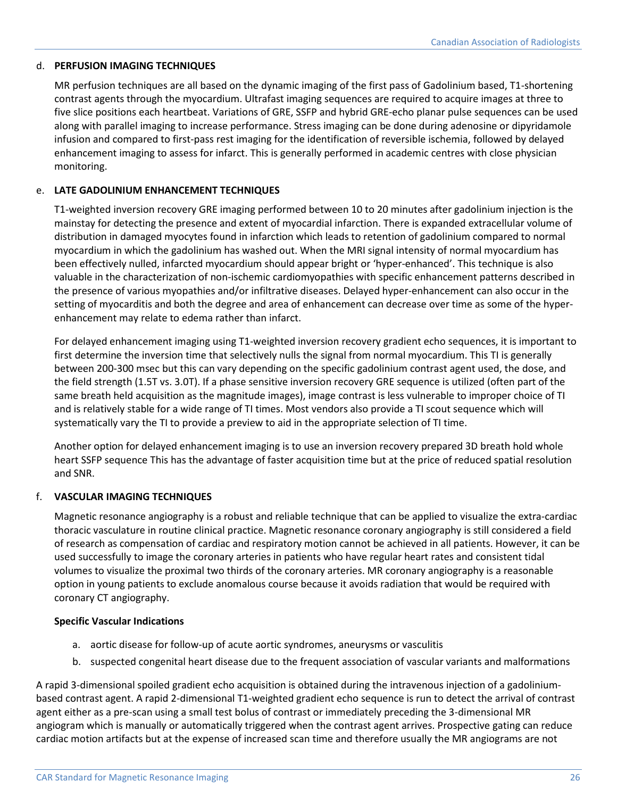#### d. **PERFUSION IMAGING TECHNIQUES**

MR perfusion techniques are all based on the dynamic imaging of the first pass of Gadolinium based, T1-shortening contrast agents through the myocardium. Ultrafast imaging sequences are required to acquire images at three to five slice positions each heartbeat. Variations of GRE, SSFP and hybrid GRE-echo planar pulse sequences can be used along with parallel imaging to increase performance. Stress imaging can be done during adenosine or dipyridamole infusion and compared to first-pass rest imaging for the identification of reversible ischemia, followed by delayed enhancement imaging to assess for infarct. This is generally performed in academic centres with close physician monitoring.

#### e. **LATE GADOLINIUM ENHANCEMENT TECHNIQUES**

T1-weighted inversion recovery GRE imaging performed between 10 to 20 minutes after gadolinium injection is the mainstay for detecting the presence and extent of myocardial infarction. There is expanded extracellular volume of distribution in damaged myocytes found in infarction which leads to retention of gadolinium compared to normal myocardium in which the gadolinium has washed out. When the MRI signal intensity of normal myocardium has been effectively nulled, infarcted myocardium should appear bright or 'hyper-enhanced'. This technique is also valuable in the characterization of non-ischemic cardiomyopathies with specific enhancement patterns described in the presence of various myopathies and/or infiltrative diseases. Delayed hyper-enhancement can also occur in the setting of myocarditis and both the degree and area of enhancement can decrease over time as some of the hyperenhancement may relate to edema rather than infarct.

For delayed enhancement imaging using T1-weighted inversion recovery gradient echo sequences, it is important to first determine the inversion time that selectively nulls the signal from normal myocardium. This TI is generally between 200-300 msec but this can vary depending on the specific gadolinium contrast agent used, the dose, and the field strength (1.5T vs. 3.0T). If a phase sensitive inversion recovery GRE sequence is utilized (often part of the same breath held acquisition as the magnitude images), image contrast is less vulnerable to improper choice of TI and is relatively stable for a wide range of TI times. Most vendors also provide a TI scout sequence which will systematically vary the TI to provide a preview to aid in the appropriate selection of TI time.

Another option for delayed enhancement imaging is to use an inversion recovery prepared 3D breath hold whole heart SSFP sequence This has the advantage of faster acquisition time but at the price of reduced spatial resolution and SNR.

#### f. **VASCULAR IMAGING TECHNIQUES**

Magnetic resonance angiography is a robust and reliable technique that can be applied to visualize the extra-cardiac thoracic vasculature in routine clinical practice. Magnetic resonance coronary angiography is still considered a field of research as compensation of cardiac and respiratory motion cannot be achieved in all patients. However, it can be used successfully to image the coronary arteries in patients who have regular heart rates and consistent tidal volumes to visualize the proximal two thirds of the coronary arteries. MR coronary angiography is a reasonable option in young patients to exclude anomalous course because it avoids radiation that would be required with coronary CT angiography.

#### **Specific Vascular Indications**

- a. aortic disease for follow-up of acute aortic syndromes, aneurysms or vasculitis
- b. suspected congenital heart disease due to the frequent association of vascular variants and malformations

A rapid 3-dimensional spoiled gradient echo acquisition is obtained during the intravenous injection of a gadoliniumbased contrast agent. A rapid 2-dimensional T1-weighted gradient echo sequence is run to detect the arrival of contrast agent either as a pre-scan using a small test bolus of contrast or immediately preceding the 3-dimensional MR angiogram which is manually or automatically triggered when the contrast agent arrives. Prospective gating can reduce cardiac motion artifacts but at the expense of increased scan time and therefore usually the MR angiograms are not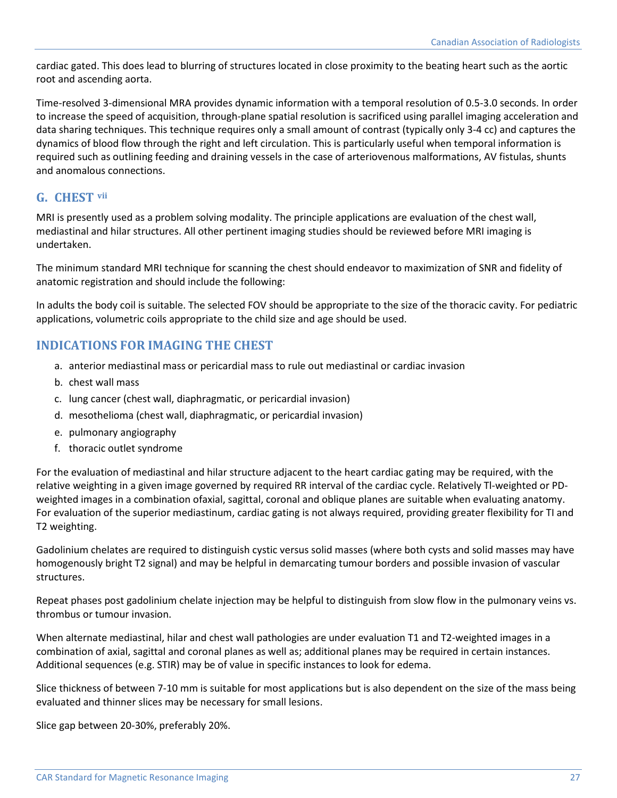cardiac gated. This does lead to blurring of structures located in close proximity to the beating heart such as the aortic root and ascending aorta.

Time-resolved 3-dimensional MRA provides dynamic information with a temporal resolution of 0.5-3.0 seconds. In order to increase the speed of acquisition, through-plane spatial resolution is sacrificed using parallel imaging acceleration and data sharing techniques. This technique requires only a small amount of contrast (typically only 3-4 cc) and captures the dynamics of blood flow through the right and left circulation. This is particularly useful when temporal information is required such as outlining feeding and draining vessels in the case of arteriovenous malformations, AV fistulas, shunts and anomalous connections.

## <span id="page-26-0"></span>**G. CHEST [vii](#page-37-1)**

MRI is presently used as a problem solving modality. The principle applications are evaluation of the chest wall, mediastinal and hilar structures. All other pertinent imaging studies should be reviewed before MRI imaging is undertaken.

The minimum standard MRI technique for scanning the chest should endeavor to maximization of SNR and fidelity of anatomic registration and should include the following:

In adults the body coil is suitable. The selected FOV should be appropriate to the size of the thoracic cavity. For pediatric applications, volumetric coils appropriate to the child size and age should be used.

## <span id="page-26-1"></span>**INDICATIONS FOR IMAGING THE CHEST**

- a. anterior mediastinal mass or pericardial mass to rule out mediastinal or cardiac invasion
- b. chest wall mass
- c. lung cancer (chest wall, diaphragmatic, or pericardial invasion)
- d. mesothelioma (chest wall, diaphragmatic, or pericardial invasion)
- e. pulmonary angiography
- f. thoracic outlet syndrome

For the evaluation of mediastinal and hilar structure adjacent to the heart cardiac gating may be required, with the relative weighting in a given image governed by required RR interval of the cardiac cycle. Relatively Tl-weighted or PDweighted images in a combination ofaxial, sagittal, coronal and oblique planes are suitable when evaluating anatomy. For evaluation of the superior mediastinum, cardiac gating is not always required, providing greater flexibility for TI and T2 weighting.

Gadolinium chelates are required to distinguish cystic versus solid masses (where both cysts and solid masses may have homogenously bright T2 signal) and may be helpful in demarcating tumour borders and possible invasion of vascular structures.

Repeat phases post gadolinium chelate injection may be helpful to distinguish from slow flow in the pulmonary veins vs. thrombus or tumour invasion.

When alternate mediastinal, hilar and chest wall pathologies are under evaluation T1 and T2-weighted images in a combination of axial, sagittal and coronal planes as well as; additional planes may be required in certain instances. Additional sequences (e.g. STIR) may be of value in specific instances to look for edema.

Slice thickness of between 7-10 mm is suitable for most applications but is also dependent on the size of the mass being evaluated and thinner slices may be necessary for small lesions.

Slice gap between 20-30%, preferably 20%.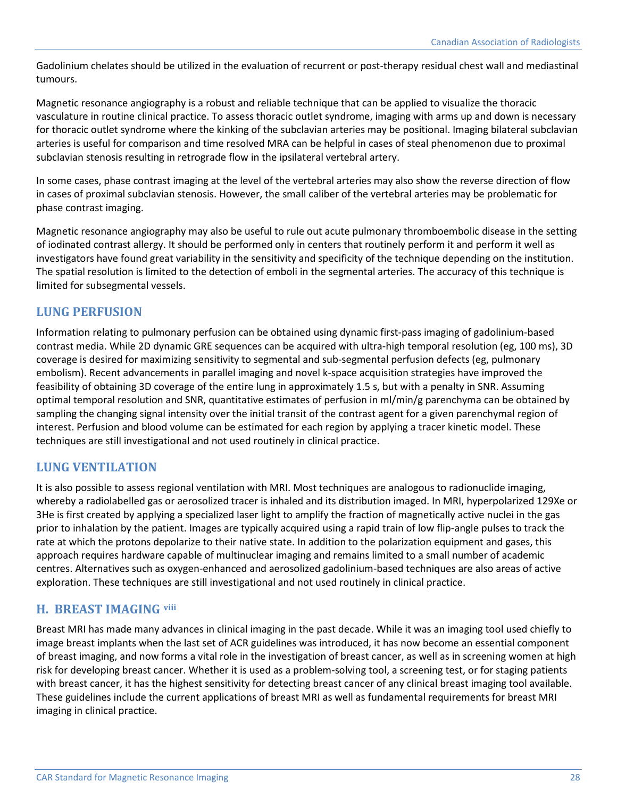Gadolinium chelates should be utilized in the evaluation of recurrent or post-therapy residual chest wall and mediastinal tumours.

Magnetic resonance angiography is a robust and reliable technique that can be applied to visualize the thoracic vasculature in routine clinical practice. To assess thoracic outlet syndrome, imaging with arms up and down is necessary for thoracic outlet syndrome where the kinking of the subclavian arteries may be positional. Imaging bilateral subclavian arteries is useful for comparison and time resolved MRA can be helpful in cases of steal phenomenon due to proximal subclavian stenosis resulting in retrograde flow in the ipsilateral vertebral artery.

In some cases, phase contrast imaging at the level of the vertebral arteries may also show the reverse direction of flow in cases of proximal subclavian stenosis. However, the small caliber of the vertebral arteries may be problematic for phase contrast imaging.

Magnetic resonance angiography may also be useful to rule out acute pulmonary thromboembolic disease in the setting of iodinated contrast allergy. It should be performed only in centers that routinely perform it and perform it well as investigators have found great variability in the sensitivity and specificity of the technique depending on the institution. The spatial resolution is limited to the detection of emboli in the segmental arteries. The accuracy of this technique is limited for subsegmental vessels.

# <span id="page-27-0"></span>**LUNG PERFUSION**

Information relating to pulmonary perfusion can be obtained using dynamic first-pass imaging of gadolinium-based contrast media. While 2D dynamic GRE sequences can be acquired with ultra-high temporal resolution (eg, 100 ms), 3D coverage is desired for maximizing sensitivity to segmental and sub-segmental perfusion defects (eg, pulmonary embolism). Recent advancements in parallel imaging and novel k-space acquisition strategies have improved the feasibility of obtaining 3D coverage of the entire lung in approximately 1.5 s, but with a penalty in SNR. Assuming optimal temporal resolution and SNR, quantitative estimates of perfusion in ml/min/g parenchyma can be obtained by sampling the changing signal intensity over the initial transit of the contrast agent for a given parenchymal region of interest. Perfusion and blood volume can be estimated for each region by applying a tracer kinetic model. These techniques are still investigational and not used routinely in clinical practice.

# <span id="page-27-1"></span>**LUNG VENTILATION**

It is also possible to assess regional ventilation with MRI. Most techniques are analogous to radionuclide imaging, whereby a radiolabelled gas or aerosolized tracer is inhaled and its distribution imaged. In MRI, hyperpolarized 129Xe or 3He is first created by applying a specialized laser light to amplify the fraction of magnetically active nuclei in the gas prior to inhalation by the patient. Images are typically acquired using a rapid train of low flip-angle pulses to track the rate at which the protons depolarize to their native state. In addition to the polarization equipment and gases, this approach requires hardware capable of multinuclear imaging and remains limited to a small number of academic centres. Alternatives such as oxygen-enhanced and aerosolized gadolinium-based techniques are also areas of active exploration. These techniques are still investigational and not used routinely in clinical practice.

## <span id="page-27-2"></span>**H. BREAST IMAGING [viii](#page-37-2)**

Breast MRI has made many advances in clinical imaging in the past decade. While it was an imaging tool used chiefly to image breast implants when the last set of ACR guidelines was introduced, it has now become an essential component of breast imaging, and now forms a vital role in the investigation of breast cancer, as well as in screening women at high risk for developing breast cancer. Whether it is used as a problem-solving tool, a screening test, or for staging patients with breast cancer, it has the highest sensitivity for detecting breast cancer of any clinical breast imaging tool available. These guidelines include the current applications of breast MRI as well as fundamental requirements for breast MRI imaging in clinical practice.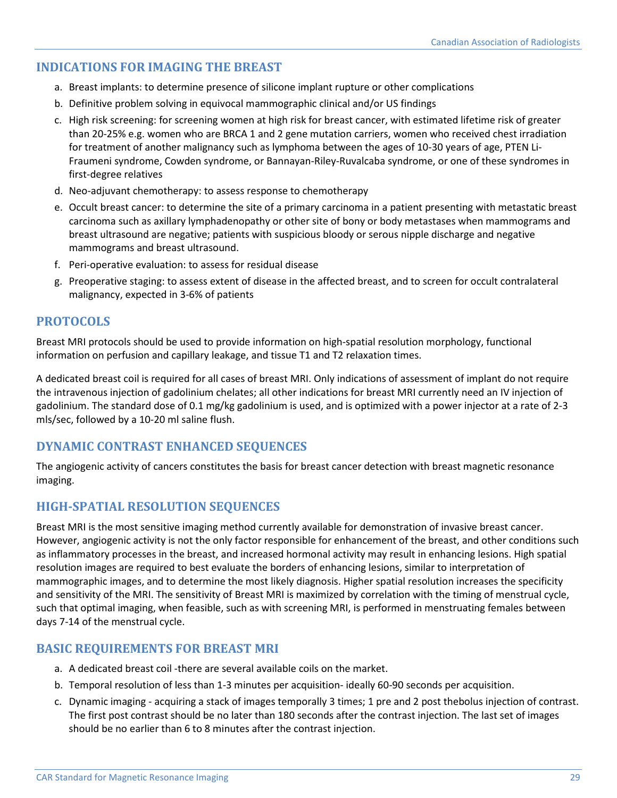## <span id="page-28-0"></span>**INDICATIONS FOR IMAGING THE BREAST**

- a. Breast implants: to determine presence of silicone implant rupture or other complications
- b. Definitive problem solving in equivocal mammographic clinical and/or US findings
- c. High risk screening: for screening women at high risk for breast cancer, with estimated lifetime risk of greater than 20-25% e.g. women who are BRCA 1 and 2 gene mutation carriers, women who received chest irradiation for treatment of another malignancy such as lymphoma between the ages of 10-30 years of age, PTEN Li-Fraumeni syndrome, Cowden syndrome, or Bannayan-Riley-Ruvalcaba syndrome, or one of these syndromes in first-degree relatives
- d. Neo-adjuvant chemotherapy: to assess response to chemotherapy
- e. Occult breast cancer: to determine the site of a primary carcinoma in a patient presenting with metastatic breast carcinoma such as axillary lymphadenopathy or other site of bony or body metastases when mammograms and breast ultrasound are negative; patients with suspicious bloody or serous nipple discharge and negative mammograms and breast ultrasound.
- f. Peri-operative evaluation: to assess for residual disease
- g. Preoperative staging: to assess extent of disease in the affected breast, and to screen for occult contralateral malignancy, expected in 3-6% of patients

#### <span id="page-28-1"></span>**PROTOCOLS**

Breast MRI protocols should be used to provide information on high-spatial resolution morphology, functional information on perfusion and capillary leakage, and tissue T1 and T2 relaxation times.

A dedicated breast coil is required for all cases of breast MRI. Only indications of assessment of implant do not require the intravenous injection of gadolinium chelates; all other indications for breast MRI currently need an IV injection of gadolinium. The standard dose of 0.1 mg/kg gadolinium is used, and is optimized with a power injector at a rate of 2-3 mls/sec, followed by a 10-20 ml saline flush.

#### <span id="page-28-2"></span>**DYNAMIC CONTRAST ENHANCED SEQUENCES**

The angiogenic activity of cancers constitutes the basis for breast cancer detection with breast magnetic resonance imaging.

#### <span id="page-28-3"></span>**HIGH-SPATIAL RESOLUTION SEQUENCES**

Breast MRI is the most sensitive imaging method currently available for demonstration of invasive breast cancer. However, angiogenic activity is not the only factor responsible for enhancement of the breast, and other conditions such as inflammatory processes in the breast, and increased hormonal activity may result in enhancing lesions. High spatial resolution images are required to best evaluate the borders of enhancing lesions, similar to interpretation of mammographic images, and to determine the most likely diagnosis. Higher spatial resolution increases the specificity and sensitivity of the MRI. The sensitivity of Breast MRI is maximized by correlation with the timing of menstrual cycle, such that optimal imaging, when feasible, such as with screening MRI, is performed in menstruating females between days 7-14 of the menstrual cycle.

#### <span id="page-28-4"></span>**BASIC REQUIREMENTS FOR BREAST MRI**

- a. A dedicated breast coil -there are several available coils on the market.
- b. Temporal resolution of less than 1-3 minutes per acquisition- ideally 60-90 seconds per acquisition.
- c. Dynamic imaging acquiring a stack of images temporally 3 times; 1 pre and 2 post thebolus injection of contrast. The first post contrast should be no later than 180 seconds after the contrast injection. The last set of images should be no earlier than 6 to 8 minutes after the contrast injection.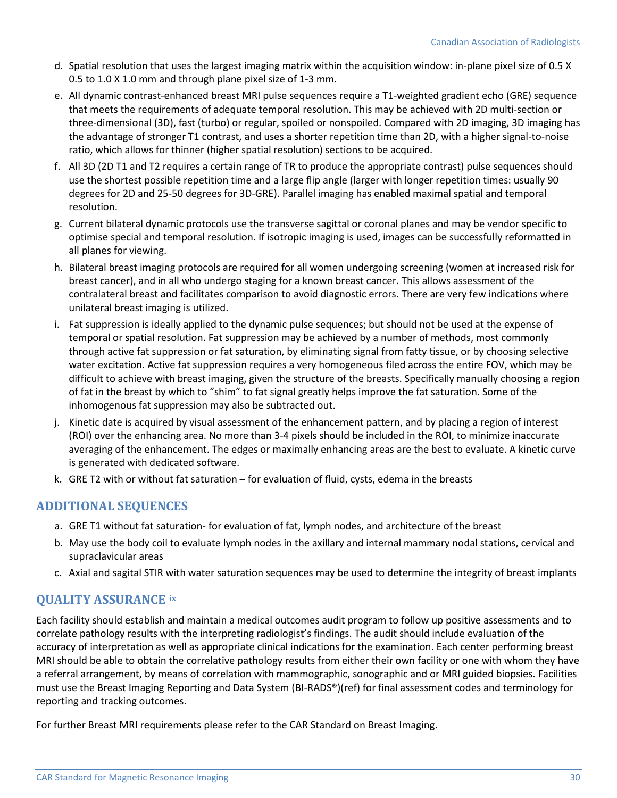- d. Spatial resolution that uses the largest imaging matrix within the acquisition window: in-plane pixel size of 0.5 X 0.5 to 1.0 X 1.0 mm and through plane pixel size of 1-3 mm.
- e. All dynamic contrast-enhanced breast MRI pulse sequences require a T1-weighted gradient echo (GRE) sequence that meets the requirements of adequate temporal resolution. This may be achieved with 2D multi-section or three-dimensional (3D), fast (turbo) or regular, spoiled or nonspoiled. Compared with 2D imaging, 3D imaging has the advantage of stronger T1 contrast, and uses a shorter repetition time than 2D, with a higher signal-to-noise ratio, which allows for thinner (higher spatial resolution) sections to be acquired.
- f. All 3D (2D T1 and T2 requires a certain range of TR to produce the appropriate contrast) pulse sequences should use the shortest possible repetition time and a large flip angle (larger with longer repetition times: usually 90 degrees for 2D and 25-50 degrees for 3D-GRE). Parallel imaging has enabled maximal spatial and temporal resolution.
- g. Current bilateral dynamic protocols use the transverse sagittal or coronal planes and may be vendor specific to optimise special and temporal resolution. If isotropic imaging is used, images can be successfully reformatted in all planes for viewing.
- h. Bilateral breast imaging protocols are required for all women undergoing screening (women at increased risk for breast cancer), and in all who undergo staging for a known breast cancer. This allows assessment of the contralateral breast and facilitates comparison to avoid diagnostic errors. There are very few indications where unilateral breast imaging is utilized.
- i. Fat suppression is ideally applied to the dynamic pulse sequences; but should not be used at the expense of temporal or spatial resolution. Fat suppression may be achieved by a number of methods, most commonly through active fat suppression or fat saturation, by eliminating signal from fatty tissue, or by choosing selective water excitation. Active fat suppression requires a very homogeneous filed across the entire FOV, which may be difficult to achieve with breast imaging, given the structure of the breasts. Specifically manually choosing a region of fat in the breast by which to "shim" to fat signal greatly helps improve the fat saturation. Some of the inhomogenous fat suppression may also be subtracted out.
- j. Kinetic date is acquired by visual assessment of the enhancement pattern, and by placing a region of interest (ROI) over the enhancing area. No more than 3-4 pixels should be included in the ROI, to minimize inaccurate averaging of the enhancement. The edges or maximally enhancing areas are the best to evaluate. A kinetic curve is generated with dedicated software.
- k. GRE T2 with or without fat saturation for evaluation of fluid, cysts, edema in the breasts

#### <span id="page-29-0"></span>**ADDITIONAL SEQUENCES**

- a. GRE T1 without fat saturation- for evaluation of fat, lymph nodes, and architecture of the breast
- b. May use the body coil to evaluate lymph nodes in the axillary and internal mammary nodal stations, cervical and supraclavicular areas
- c. Axial and sagital STIR with water saturation sequences may be used to determine the integrity of breast implants

## <span id="page-29-1"></span>**QUALITY ASSURANCE [ix](#page-38-0)**

Each facility should establish and maintain a medical outcomes audit program to follow up positive assessments and to correlate pathology results with the interpreting radiologist's findings. The audit should include evaluation of the accuracy of interpretation as well as appropriate clinical indications for the examination. Each center performing breast MRI should be able to obtain the correlative pathology results from either their own facility or one with whom they have a referral arrangement, by means of correlation with mammographic, sonographic and or MRI guided biopsies. Facilities must use the Breast Imaging Reporting and Data System (BI-RADS®)(ref) for final assessment codes and terminology for reporting and tracking outcomes.

For further Breast MRI requirements please refer to the CAR Standard on Breast Imaging.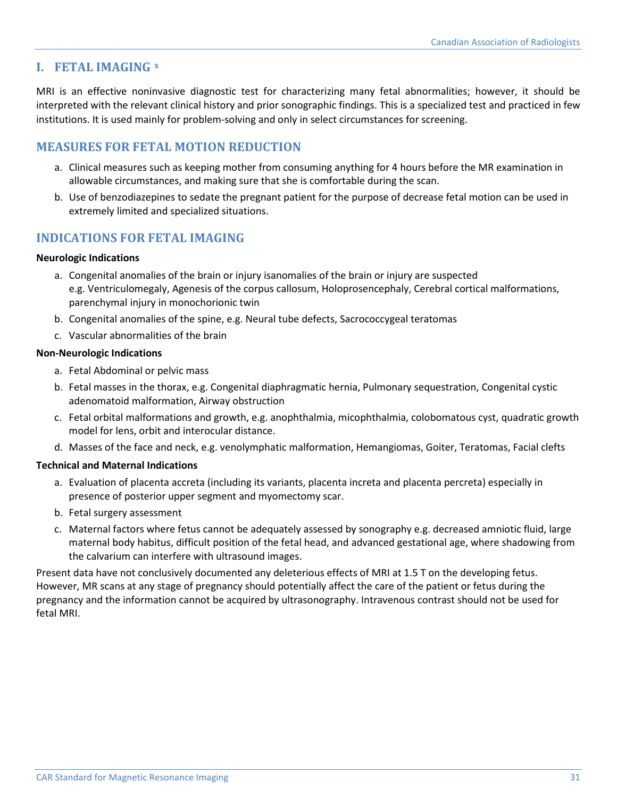## <span id="page-30-0"></span>**I. FETAL IMAGING [x](#page-38-1)**

MRI is an effective noninvasive diagnostic test for characterizing many fetal abnormalities; however, it should be interpreted with the relevant clinical history and prior sonographic findings. This is a specialized test and practiced in few institutions. It is used mainly for problem-solving and only in select circumstances for screening.

#### <span id="page-30-1"></span>**MEASURES FOR FETAL MOTION REDUCTION**

- a. Clinical measures such as keeping mother from consuming anything for 4 hours before the MR examination in allowable circumstances, and making sure that she is comfortable during the scan.
- b. Use of benzodiazepines to sedate the pregnant patient for the purpose of decrease fetal motion can be used in extremely limited and specialized situations.

## <span id="page-30-2"></span>**INDICATIONS FOR FETAL IMAGING**

#### **Neurologic Indications**

- a. Congenital anomalies of the brain or injury isanomalies of the brain or injury are suspected e.g. Ventriculomegaly, Agenesis of the corpus callosum, Holoprosencephaly, Cerebral cortical malformations, parenchymal injury in monochorionic twin
- b. Congenital anomalies of the spine, e.g. Neural tube defects, Sacrococcygeal teratomas
- c. Vascular abnormalities of the brain

#### **Non-Neurologic Indications**

- a. Fetal Abdominal or pelvic mass
- b. Fetal masses in the thorax, e.g. Congenital diaphragmatic hernia, Pulmonary sequestration, Congenital cystic adenomatoid malformation, Airway obstruction
- c. Fetal orbital malformations and growth, e.g. anophthalmia, micophthalmia, colobomatous cyst, quadratic growth model for lens, orbit and interocular distance.
- d. Masses of the face and neck, e.g. venolymphatic malformation, Hemangiomas, Goiter, Teratomas, Facial clefts

#### **Technical and Maternal Indications**

- a. Evaluation of placenta accreta (including its variants, placenta increta and placenta percreta) especially in presence of posterior upper segment and myomectomy scar.
- b. Fetal surgery assessment
- c. Maternal factors where fetus cannot be adequately assessed by sonography e.g. decreased amniotic fluid, large maternal body habitus, difficult position of the fetal head, and advanced gestational age, where shadowing from the calvarium can interfere with ultrasound images.

Present data have not conclusively documented any deleterious effects of MRI at 1.5 T on the developing fetus. However, MR scans at any stage of pregnancy should potentially affect the care of the patient or fetus during the pregnancy and the information cannot be acquired by ultrasonography. Intravenous contrast should not be used for fetal MRI.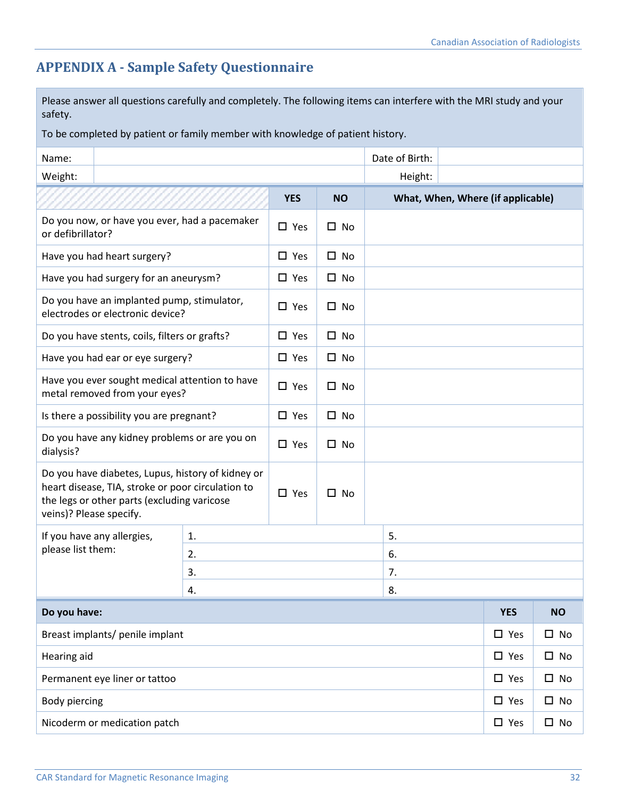# <span id="page-31-0"></span>**APPENDIX A - Sample Safety Questionnaire**

| Please answer all questions carefully and completely. The following items can interfere with the MRI study and your |  |
|---------------------------------------------------------------------------------------------------------------------|--|
| safety.                                                                                                             |  |

To be completed by patient or family member with knowledge of patient history.

| Name:                                                                                                                                                                            |  |                                               |               |                                   | Date of Birth: |               |               |              |
|----------------------------------------------------------------------------------------------------------------------------------------------------------------------------------|--|-----------------------------------------------|---------------|-----------------------------------|----------------|---------------|---------------|--------------|
| Weight:                                                                                                                                                                          |  |                                               |               |                                   | Height:        |               |               |              |
| <b>YES</b><br><b>NO</b>                                                                                                                                                          |  |                                               |               | What, When, Where (if applicable) |                |               |               |              |
| or defibrillator?                                                                                                                                                                |  | Do you now, or have you ever, had a pacemaker | $\square$ Yes | $\square$ No                      |                |               |               |              |
| Have you had heart surgery?                                                                                                                                                      |  |                                               | $\Box$ Yes    | $\square$ No                      |                |               |               |              |
| Have you had surgery for an aneurysm?                                                                                                                                            |  |                                               | $\Box$ Yes    | $\Box$ No                         |                |               |               |              |
| Do you have an implanted pump, stimulator,<br>electrodes or electronic device?                                                                                                   |  |                                               | $\square$ Yes | $\square$ No                      |                |               |               |              |
| Do you have stents, coils, filters or grafts?                                                                                                                                    |  |                                               | $\Box$ Yes    | $\square$ No                      |                |               |               |              |
| Have you had ear or eye surgery?                                                                                                                                                 |  |                                               | $\square$ Yes | $\square$ No                      |                |               |               |              |
| Have you ever sought medical attention to have<br>metal removed from your eyes?                                                                                                  |  |                                               | $\Box$ Yes    | $\square$ No                      |                |               |               |              |
| Is there a possibility you are pregnant?                                                                                                                                         |  |                                               | $\Box$ Yes    | $\square$ No                      |                |               |               |              |
| Do you have any kidney problems or are you on<br>dialysis?                                                                                                                       |  |                                               | $\Box$ Yes    | $\square$ No                      |                |               |               |              |
| Do you have diabetes, Lupus, history of kidney or<br>heart disease, TIA, stroke or poor circulation to<br>the legs or other parts (excluding varicose<br>veins)? Please specify. |  |                                               | $\Box$ Yes    | $\square$ No                      |                |               |               |              |
| If you have any allergies,                                                                                                                                                       |  | 1.                                            |               |                                   | 5.             |               |               |              |
| please list them:                                                                                                                                                                |  | 2.                                            |               |                                   | 6.             |               |               |              |
|                                                                                                                                                                                  |  | 3.                                            |               |                                   | 7.             |               |               |              |
|                                                                                                                                                                                  |  | 4.                                            |               |                                   | 8.             |               |               |              |
| Do you have:                                                                                                                                                                     |  |                                               |               |                                   |                |               | <b>YES</b>    | <b>NO</b>    |
| Breast implants/ penile implant                                                                                                                                                  |  |                                               |               |                                   |                |               | $\square$ Yes | $\square$ No |
| Hearing aid                                                                                                                                                                      |  |                                               |               |                                   |                | $\square$ Yes | $\square$ No  |              |
| Permanent eye liner or tattoo                                                                                                                                                    |  |                                               |               |                                   |                | $\square$ Yes | $\square$ No  |              |
| <b>Body piercing</b>                                                                                                                                                             |  |                                               |               |                                   |                | $\square$ Yes | $\square$ No  |              |
| Nicoderm or medication patch                                                                                                                                                     |  |                                               |               |                                   | $\square$ Yes  | $\square$ No  |               |              |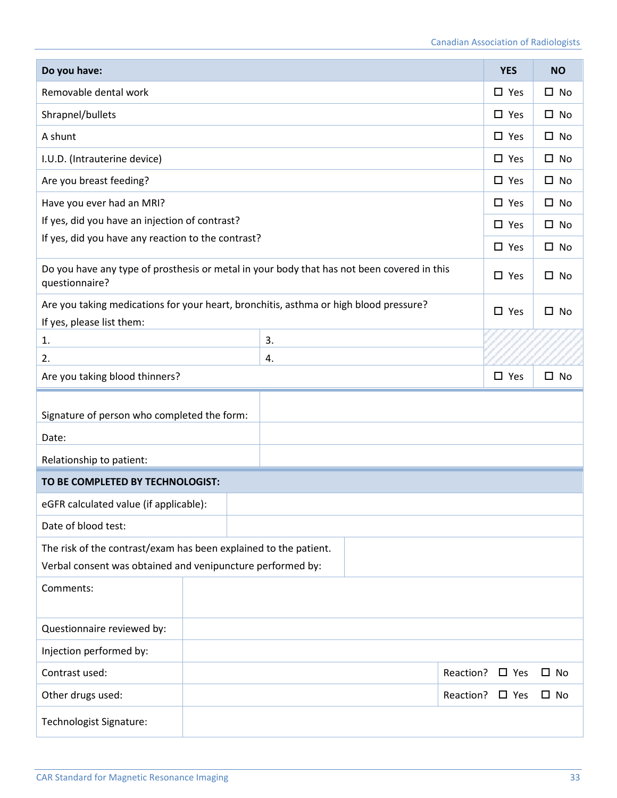| Do you have:                                                                                                                   |  |  |    |  |               | <b>YES</b>    | <b>NO</b>    |
|--------------------------------------------------------------------------------------------------------------------------------|--|--|----|--|---------------|---------------|--------------|
| Removable dental work                                                                                                          |  |  |    |  |               | $\square$ Yes | $\square$ No |
| Shrapnel/bullets                                                                                                               |  |  |    |  |               | $\square$ Yes | $\square$ No |
| A shunt                                                                                                                        |  |  |    |  |               | $\square$ Yes | $\square$ No |
| I.U.D. (Intrauterine device)                                                                                                   |  |  |    |  |               | $\square$ Yes | $\square$ No |
| Are you breast feeding?                                                                                                        |  |  |    |  |               | $\square$ Yes | $\square$ No |
| Have you ever had an MRI?                                                                                                      |  |  |    |  |               | $\square$ Yes | $\square$ No |
| If yes, did you have an injection of contrast?                                                                                 |  |  |    |  |               | $\square$ Yes | $\square$ No |
| If yes, did you have any reaction to the contrast?                                                                             |  |  |    |  |               | $\square$ Yes | $\square$ No |
| Do you have any type of prosthesis or metal in your body that has not been covered in this<br>questionnaire?                   |  |  |    |  |               | $\square$ Yes | No           |
| Are you taking medications for your heart, bronchitis, asthma or high blood pressure?                                          |  |  |    |  |               | $\square$ Yes | No           |
| If yes, please list them:<br>1.                                                                                                |  |  | 3. |  |               |               |              |
| 2.                                                                                                                             |  |  | 4. |  |               |               |              |
| Are you taking blood thinners?                                                                                                 |  |  |    |  | $\square$ Yes | $\square$ No  |              |
| Signature of person who completed the form:<br>Date:                                                                           |  |  |    |  |               |               |              |
|                                                                                                                                |  |  |    |  |               |               |              |
| Relationship to patient:<br>TO BE COMPLETED BY TECHNOLOGIST:                                                                   |  |  |    |  |               |               |              |
| eGFR calculated value (if applicable):                                                                                         |  |  |    |  |               |               |              |
| Date of blood test:                                                                                                            |  |  |    |  |               |               |              |
| The risk of the contrast/exam has been explained to the patient.<br>Verbal consent was obtained and venipuncture performed by: |  |  |    |  |               |               |              |
| Comments:                                                                                                                      |  |  |    |  |               |               |              |
| Questionnaire reviewed by:                                                                                                     |  |  |    |  |               |               |              |
| Injection performed by:                                                                                                        |  |  |    |  |               |               |              |
| Contrast used:                                                                                                                 |  |  |    |  | Reaction?     | $\Box$ Yes    | $\Box$ No    |
| Other drugs used:                                                                                                              |  |  |    |  | Reaction?     | $\Box$ Yes    | $\Box$ No    |
| Technologist Signature:                                                                                                        |  |  |    |  |               |               |              |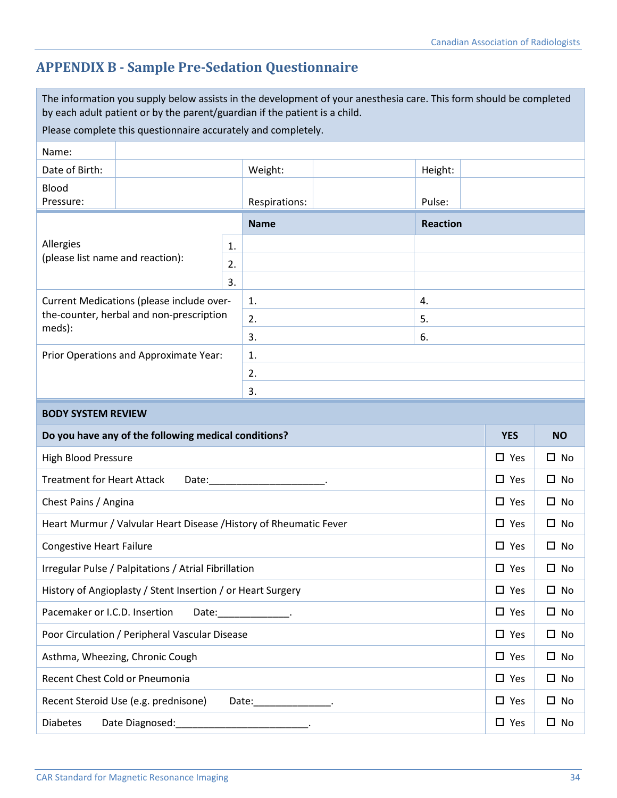# <span id="page-33-0"></span>**APPENDIX B - Sample Pre-Sedation Questionnaire**

|                                                               | The information you supply below assists in the development of your anesthesia care. This form should be completed<br>by each adult patient or by the parent/guardian if the patient is a child. |    |               |  |                 |               |               |              |
|---------------------------------------------------------------|--------------------------------------------------------------------------------------------------------------------------------------------------------------------------------------------------|----|---------------|--|-----------------|---------------|---------------|--------------|
| Please complete this questionnaire accurately and completely. |                                                                                                                                                                                                  |    |               |  |                 |               |               |              |
| Name:                                                         |                                                                                                                                                                                                  |    |               |  |                 |               |               |              |
| Date of Birth:                                                |                                                                                                                                                                                                  |    | Weight:       |  | Height:         |               |               |              |
| Blood<br>Pressure:                                            |                                                                                                                                                                                                  |    | Respirations: |  | Pulse:          |               |               |              |
|                                                               |                                                                                                                                                                                                  |    | <b>Name</b>   |  | <b>Reaction</b> |               |               |              |
| Allergies                                                     |                                                                                                                                                                                                  | 1. |               |  |                 |               |               |              |
| (please list name and reaction):                              |                                                                                                                                                                                                  | 2. |               |  |                 |               |               |              |
|                                                               |                                                                                                                                                                                                  | 3. |               |  |                 |               |               |              |
|                                                               | Current Medications (please include over-                                                                                                                                                        |    | 1.            |  | 4.              |               |               |              |
| meds):                                                        | the-counter, herbal and non-prescription                                                                                                                                                         |    | 2.            |  | 5.              |               |               |              |
|                                                               |                                                                                                                                                                                                  |    | 3.            |  | 6.              |               |               |              |
| Prior Operations and Approximate Year:<br>1.                  |                                                                                                                                                                                                  |    |               |  |                 |               |               |              |
|                                                               |                                                                                                                                                                                                  |    | 2.            |  |                 |               |               |              |
|                                                               |                                                                                                                                                                                                  |    | 3.            |  |                 |               |               |              |
| <b>BODY SYSTEM REVIEW</b>                                     |                                                                                                                                                                                                  |    |               |  |                 |               |               |              |
| Do you have any of the following medical conditions?          |                                                                                                                                                                                                  |    |               |  |                 |               | <b>YES</b>    | <b>NO</b>    |
| <b>High Blood Pressure</b>                                    |                                                                                                                                                                                                  |    |               |  |                 | $\Box$ Yes    | $\Box$ No     |              |
| <b>Treatment for Heart Attack</b><br>Date:                    |                                                                                                                                                                                                  |    |               |  |                 |               | $\Box$ Yes    | $\Box$ No    |
| Chest Pains / Angina                                          |                                                                                                                                                                                                  |    |               |  |                 |               | $\square$ Yes | $\square$ No |
|                                                               | Heart Murmur / Valvular Heart Disease / History of Rheumatic Fever                                                                                                                               |    |               |  |                 |               | $\square$ Yes | $\Box$ No    |
| <b>Congestive Heart Failure</b>                               |                                                                                                                                                                                                  |    |               |  |                 |               | $\square$ Yes | $\square$ No |
| Irregular Pulse / Palpitations / Atrial Fibrillation          |                                                                                                                                                                                                  |    |               |  |                 | $\square$ Yes | $\square$ No  |              |
| History of Angioplasty / Stent Insertion / or Heart Surgery   |                                                                                                                                                                                                  |    |               |  |                 |               | $\square$ Yes | $\square$ No |
| Pacemaker or I.C.D. Insertion<br>Date: Date:                  |                                                                                                                                                                                                  |    |               |  |                 | $\square$ Yes | $\Box$ No     |              |
| Poor Circulation / Peripheral Vascular Disease                |                                                                                                                                                                                                  |    |               |  |                 | $\square$ Yes | $\square$ No  |              |
| Asthma, Wheezing, Chronic Cough                               |                                                                                                                                                                                                  |    |               |  |                 |               | $\square$ Yes | $\Box$ No    |
| Recent Chest Cold or Pneumonia                                |                                                                                                                                                                                                  |    |               |  |                 |               | $\square$ Yes | $\square$ No |
| Recent Steroid Use (e.g. prednisone)<br>Date:                 |                                                                                                                                                                                                  |    |               |  |                 | $\square$ Yes | $\square$ No  |              |
| <b>Diabetes</b><br>Date Diagnosed:                            |                                                                                                                                                                                                  |    |               |  |                 | $\square$ Yes | $\square$ No  |              |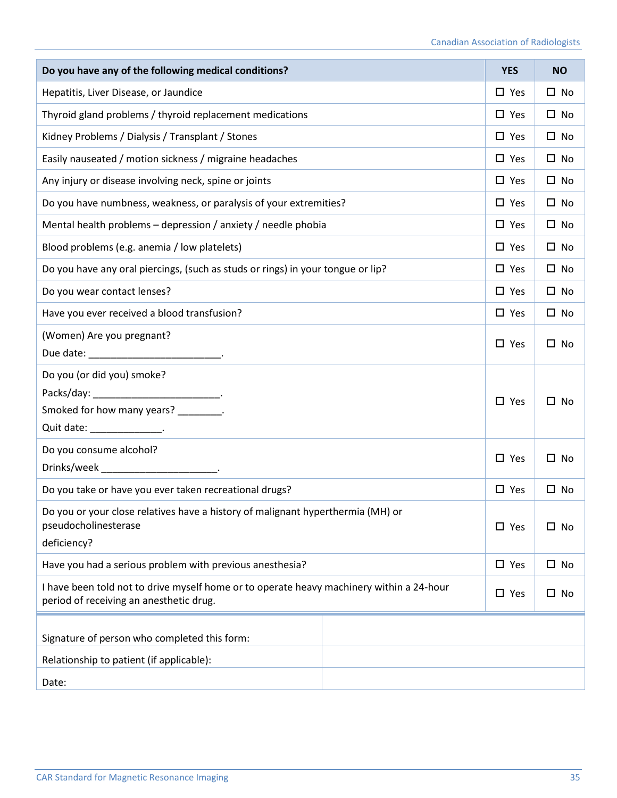| Do you have any of the following medical conditions?                                                                                | <b>YES</b>    | <b>NO</b>     |              |
|-------------------------------------------------------------------------------------------------------------------------------------|---------------|---------------|--------------|
| Hepatitis, Liver Disease, or Jaundice                                                                                               | $\square$ Yes | $\square$ No  |              |
| Thyroid gland problems / thyroid replacement medications                                                                            | $\square$ Yes | $\square$ No  |              |
| Kidney Problems / Dialysis / Transplant / Stones                                                                                    |               | $\square$ Yes | $\square$ No |
| Easily nauseated / motion sickness / migraine headaches                                                                             |               | $\square$ Yes | $\square$ No |
| Any injury or disease involving neck, spine or joints                                                                               |               | $\square$ Yes | $\square$ No |
| Do you have numbness, weakness, or paralysis of your extremities?                                                                   |               | $\square$ Yes | $\square$ No |
| Mental health problems - depression / anxiety / needle phobia                                                                       |               | $\square$ Yes | $\square$ No |
| Blood problems (e.g. anemia / low platelets)                                                                                        |               | $\square$ Yes | $\square$ No |
| Do you have any oral piercings, (such as studs or rings) in your tongue or lip?                                                     |               | $\square$ Yes | $\square$ No |
| Do you wear contact lenses?                                                                                                         | $\square$ Yes | $\square$ No  |              |
| Have you ever received a blood transfusion?                                                                                         |               | $\square$ Yes | $\square$ No |
| (Women) Are you pregnant?<br>Due date: __________________________.                                                                  |               | $\square$ Yes | $\Box$ No    |
| Do you (or did you) smoke?<br>Smoked for how many years? ________.<br>Quit date: _______________.                                   |               | $\square$ Yes | $\Box$ No    |
| Do you consume alcohol?<br>Drinks/week _________________________                                                                    | $\square$ Yes | $\square$ No  |              |
| Do you take or have you ever taken recreational drugs?                                                                              |               | $\Box$ Yes    | $\square$ No |
| Do you or your close relatives have a history of malignant hyperthermia (MH) or<br>pseudocholinesterase<br>deficiency?              | $\square$ Yes | $\square$ No  |              |
| Have you had a serious problem with previous anesthesia?                                                                            | $\square$ Yes | $\square$ No  |              |
| I have been told not to drive myself home or to operate heavy machinery within a 24-hour<br>period of receiving an anesthetic drug. | $\square$ Yes | $\square$ No  |              |
| Signature of person who completed this form:                                                                                        |               |               |              |
| Relationship to patient (if applicable):                                                                                            |               |               |              |
| Date:                                                                                                                               |               |               |              |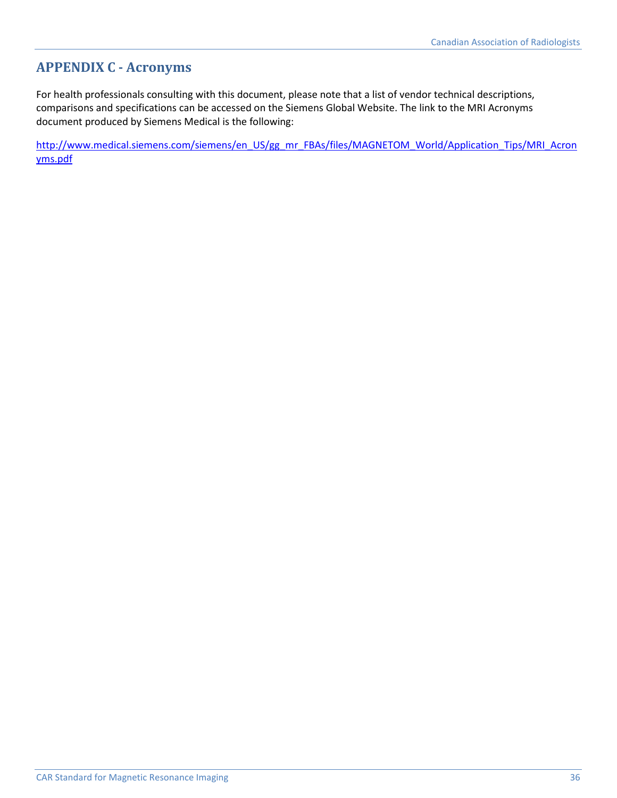# <span id="page-35-0"></span>**APPENDIX C - Acronyms**

For health professionals consulting with this document, please note that a list of vendor technical descriptions, comparisons and specifications can be accessed on the Siemens Global Website. The link to the MRI Acronyms document produced by Siemens Medical is the following:

[http://www.medical.siemens.com/siemens/en\\_US/gg\\_mr\\_FBAs/files/MAGNETOM\\_World/Application\\_Tips/MRI\\_Acron](http://www.medical.siemens.com/siemens/en_US/gg_mr_FBAs/files/MAGNETOM_World/Application_Tips/MRI_Acronyms.pdf) [yms.pdf](http://www.medical.siemens.com/siemens/en_US/gg_mr_FBAs/files/MAGNETOM_World/Application_Tips/MRI_Acronyms.pdf)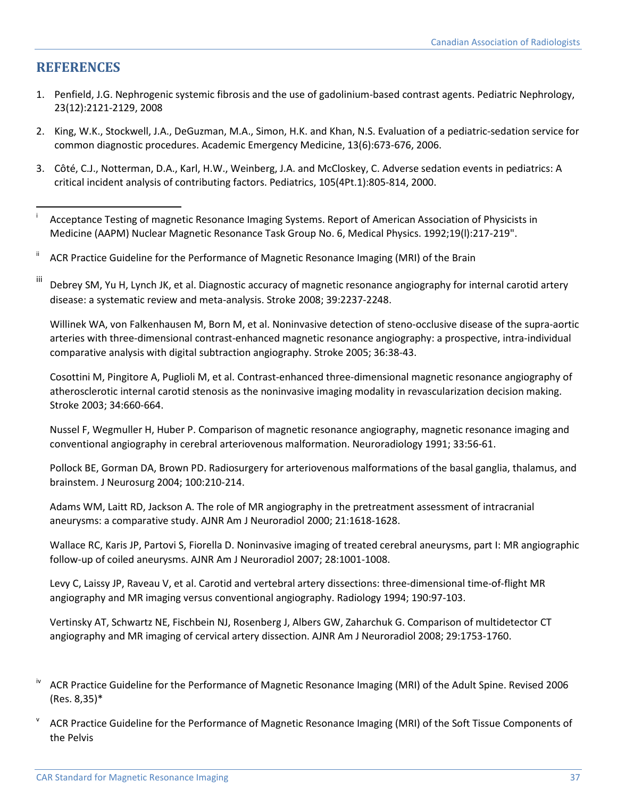# <span id="page-36-0"></span>**REFERENCES**

- 1. Penfield, J.G. Nephrogenic systemic fibrosis and the use of gadolinium-based contrast agents. Pediatric Nephrology, 23(12):2121-2129, 2008
- 2. King, W.K., Stockwell, J.A., DeGuzman, M.A., Simon, H.K. and Khan, N.S. Evaluation of a pediatric-sedation service for common diagnostic procedures. Academic Emergency Medicine, 13(6):673-676, 2006.
- 3. Côté, C.J., Notterman, D.A., Karl, H.W., Weinberg, J.A. and McCloskey, C. Adverse sedation events in pediatrics: A critical incident analysis of contributing factors. Pediatrics, 105(4Pt.1):805-814, 2000.
- <span id="page-36-1"></span>Acceptance Testing of magnetic Resonance Imaging Systems. Report of American Association of Physicists in Medicine (AAPM) Nuclear Magnetic Resonance Task Group No. 6, Medical Physics. 1992;19(l):217-219".
- <span id="page-36-2"></span>ACR Practice Guideline for the Performance of Magnetic Resonance Imaging (MRI) of the Brain
- <span id="page-36-3"></span>iii Debrey SM, Yu H, Lynch JK, et al. Diagnostic accuracy of magnetic resonance angiography for internal carotid artery disease: a systematic review and meta-analysis. Stroke 2008; 39:2237-2248.

Willinek WA, von Falkenhausen M, Born M, et al. Noninvasive detection of steno-occlusive disease of the supra-aortic arteries with three-dimensional contrast-enhanced magnetic resonance angiography: a prospective, intra-individual comparative analysis with digital subtraction angiography. Stroke 2005; 36:38-43.

Cosottini M, Pingitore A, Puglioli M, et al. Contrast-enhanced three-dimensional magnetic resonance angiography of atherosclerotic internal carotid stenosis as the noninvasive imaging modality in revascularization decision making. Stroke 2003; 34:660-664.

Nussel F, Wegmuller H, Huber P. Comparison of magnetic resonance angiography, magnetic resonance imaging and conventional angiography in cerebral arteriovenous malformation. Neuroradiology 1991; 33:56-61.

Pollock BE, Gorman DA, Brown PD. Radiosurgery for arteriovenous malformations of the basal ganglia, thalamus, and brainstem. J Neurosurg 2004; 100:210-214.

Adams WM, Laitt RD, Jackson A. The role of MR angiography in the pretreatment assessment of intracranial aneurysms: a comparative study. AJNR Am J Neuroradiol 2000; 21:1618-1628.

Wallace RC, Karis JP, Partovi S, Fiorella D. Noninvasive imaging of treated cerebral aneurysms, part I: MR angiographic follow-up of coiled aneurysms. AJNR Am J Neuroradiol 2007; 28:1001-1008.

Levy C, Laissy JP, Raveau V, et al. Carotid and vertebral artery dissections: three-dimensional time-of-flight MR angiography and MR imaging versus conventional angiography. Radiology 1994; 190:97-103.

Vertinsky AT, Schwartz NE, Fischbein NJ, Rosenberg J, Albers GW, Zaharchuk G. Comparison of multidetector CT angiography and MR imaging of cervical artery dissection. AJNR Am J Neuroradiol 2008; 29:1753-1760.

- <span id="page-36-4"></span>ACR Practice Guideline for the Performance of Magnetic Resonance Imaging (MRI) of the Adult Spine. Revised 2006 (Res. 8,35)\*
- <span id="page-36-5"></span>ACR Practice Guideline for the Performance of Magnetic Resonance Imaging (MRI) of the Soft Tissue Components of the Pelvis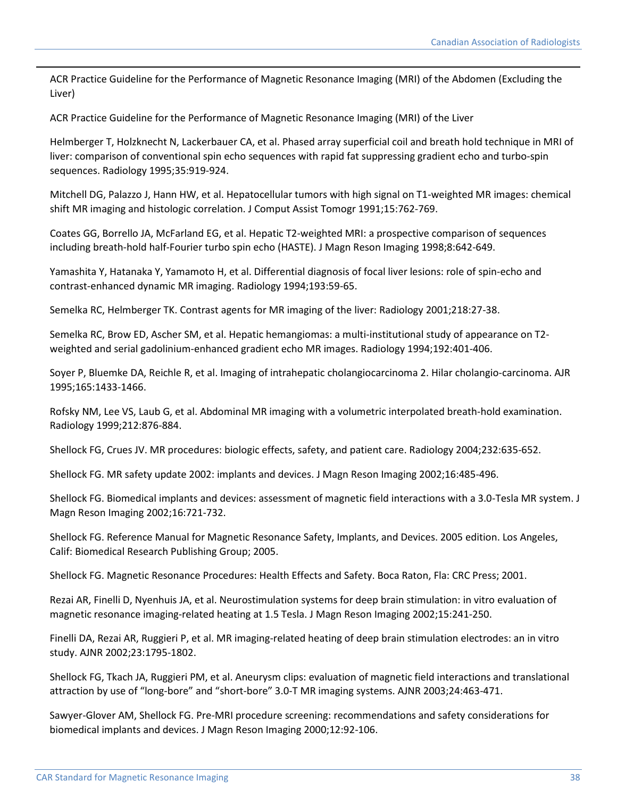ACR Practice Guideline for the Performance of Magnetic Resonance Imaging (MRI) of the Abdomen (Excluding the Liver)

ACR Practice Guideline for the Performance of Magnetic Resonance Imaging (MRI) of the Liver

 $\overline{\phantom{a}}$ 

Helmberger T, Holzknecht N, Lackerbauer CA, et al. Phased array superficial coil and breath hold technique in MRI of liver: comparison of conventional spin echo sequences with rapid fat suppressing gradient echo and turbo-spin sequences. Radiology 1995;35:919-924.

Mitchell DG, Palazzo J, Hann HW, et al. Hepatocellular tumors with high signal on T1-weighted MR images: chemical shift MR imaging and histologic correlation. J Comput Assist Tomogr 1991;15:762-769.

Coates GG, Borrello JA, McFarland EG, et al. Hepatic T2-weighted MRI: a prospective comparison of sequences including breath-hold half-Fourier turbo spin echo (HASTE). J Magn Reson Imaging 1998;8:642-649.

Yamashita Y, Hatanaka Y, Yamamoto H, et al. Differential diagnosis of focal liver lesions: role of spin-echo and contrast-enhanced dynamic MR imaging. Radiology 1994;193:59-65.

<span id="page-37-0"></span>Semelka RC, Helmberger TK. Contrast agents for MR imaging of the liver: Radiology 2001;218:27-38.

Semelka RC, Brow ED, Ascher SM, et al. Hepatic hemangiomas: a multi-institutional study of appearance on T2 weighted and serial gadolinium-enhanced gradient echo MR images. Radiology 1994;192:401-406.

Soyer P, Bluemke DA, Reichle R, et al. Imaging of intrahepatic cholangiocarcinoma 2. Hilar cholangio-carcinoma. AJR 1995;165:1433-1466.

<span id="page-37-1"></span>Rofsky NM, Lee VS, Laub G, et al. Abdominal MR imaging with a volumetric interpolated breath-hold examination. Radiology 1999;212:876-884.

Shellock FG, Crues JV. MR procedures: biologic effects, safety, and patient care. Radiology 2004;232:635-652.

Shellock FG. MR safety update 2002: implants and devices. J Magn Reson Imaging 2002;16:485-496.

Shellock FG. Biomedical implants and devices: assessment of magnetic field interactions with a 3.0-Tesla MR system. J Magn Reson Imaging 2002;16:721-732.

Shellock FG. Reference Manual for Magnetic Resonance Safety, Implants, and Devices. 2005 edition. Los Angeles, Calif: Biomedical Research Publishing Group; 2005.

Shellock FG. Magnetic Resonance Procedures: Health Effects and Safety. Boca Raton, Fla: CRC Press; 2001.

<span id="page-37-2"></span>Rezai AR, Finelli D, Nyenhuis JA, et al. Neurostimulation systems for deep brain stimulation: in vitro evaluation of magnetic resonance imaging-related heating at 1.5 Tesla. J Magn Reson Imaging 2002;15:241-250.

Finelli DA, Rezai AR, Ruggieri P, et al. MR imaging-related heating of deep brain stimulation electrodes: an in vitro study. AJNR 2002;23:1795-1802.

Shellock FG, Tkach JA, Ruggieri PM, et al. Aneurysm clips: evaluation of magnetic field interactions and translational attraction by use of "long-bore" and "short-bore" 3.0-T MR imaging systems. AJNR 2003;24:463-471.

Sawyer-Glover AM, Shellock FG. Pre-MRI procedure screening: recommendations and safety considerations for biomedical implants and devices. J Magn Reson Imaging 2000;12:92-106.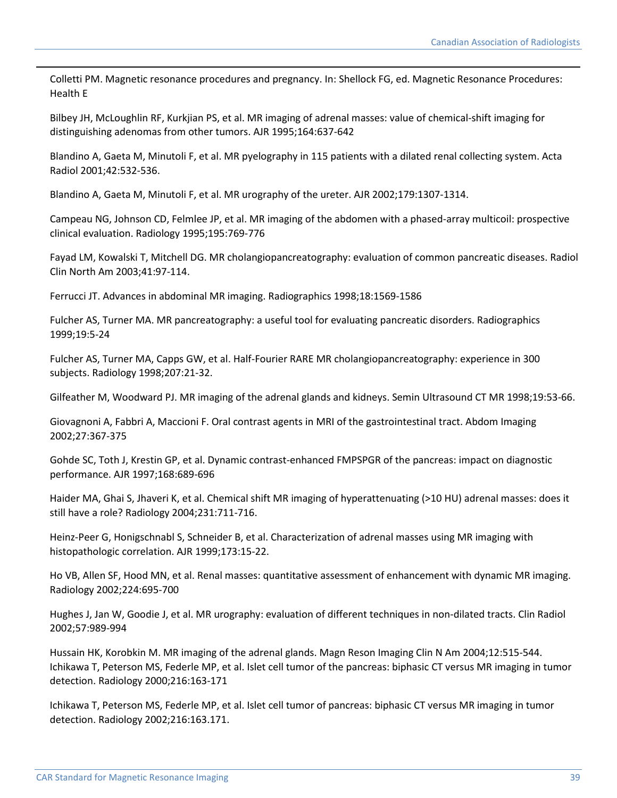<span id="page-38-0"></span>Colletti PM. Magnetic resonance procedures and pregnancy. In: Shellock FG, ed. Magnetic Resonance Procedures: Health E

<span id="page-38-1"></span>Bilbey JH, McLoughlin RF, Kurkjian PS, et al. MR imaging of adrenal masses: value of chemical-shift imaging for distinguishing adenomas from other tumors. AJR 1995;164:637-642

Blandino A, Gaeta M, Minutoli F, et al. MR pyelography in 115 patients with a dilated renal collecting system. Acta Radiol 2001;42:532-536.

Blandino A, Gaeta M, Minutoli F, et al. MR urography of the ureter. AJR 2002;179:1307-1314.

Campeau NG, Johnson CD, Felmlee JP, et al. MR imaging of the abdomen with a phased-array multicoil: prospective clinical evaluation. Radiology 1995;195:769-776

Fayad LM, Kowalski T, Mitchell DG. MR cholangiopancreatography: evaluation of common pancreatic diseases. Radiol Clin North Am 2003;41:97-114.

Ferrucci JT. Advances in abdominal MR imaging. Radiographics 1998;18:1569-1586

Fulcher AS, Turner MA. MR pancreatography: a useful tool for evaluating pancreatic disorders. Radiographics 1999;19:5-24

Fulcher AS, Turner MA, Capps GW, et al. Half-Fourier RARE MR cholangiopancreatography: experience in 300 subjects. Radiology 1998;207:21-32.

Gilfeather M, Woodward PJ. MR imaging of the adrenal glands and kidneys. Semin Ultrasound CT MR 1998;19:53-66.

Giovagnoni A, Fabbri A, Maccioni F. Oral contrast agents in MRI of the gastrointestinal tract. Abdom Imaging 2002;27:367-375

Gohde SC, Toth J, Krestin GP, et al. Dynamic contrast-enhanced FMPSPGR of the pancreas: impact on diagnostic performance. AJR 1997;168:689-696

Haider MA, Ghai S, Jhaveri K, et al. Chemical shift MR imaging of hyperattenuating (>10 HU) adrenal masses: does it still have a role? Radiology 2004;231:711-716.

Heinz-Peer G, Honigschnabl S, Schneider B, et al. Characterization of adrenal masses using MR imaging with histopathologic correlation. AJR 1999;173:15-22.

Ho VB, Allen SF, Hood MN, et al. Renal masses: quantitative assessment of enhancement with dynamic MR imaging. Radiology 2002;224:695-700

Hughes J, Jan W, Goodie J, et al. MR urography: evaluation of different techniques in non-dilated tracts. Clin Radiol 2002;57:989-994

Hussain HK, Korobkin M. MR imaging of the adrenal glands. Magn Reson Imaging Clin N Am 2004;12:515-544. Ichikawa T, Peterson MS, Federle MP, et al. Islet cell tumor of the pancreas: biphasic CT versus MR imaging in tumor detection. Radiology 2000;216:163-171

Ichikawa T, Peterson MS, Federle MP, et al. Islet cell tumor of pancreas: biphasic CT versus MR imaging in tumor detection. Radiology 2002;216:163.171.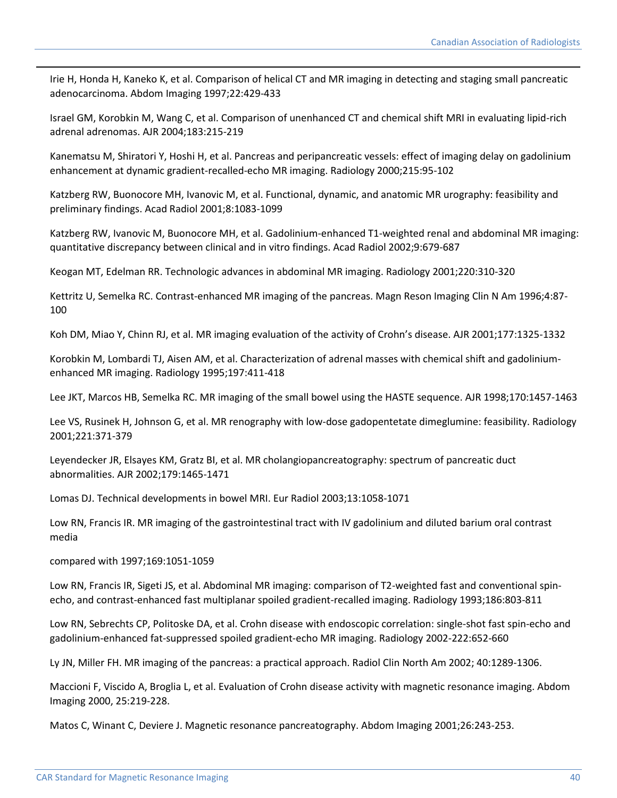Irie H, Honda H, Kaneko K, et al. Comparison of helical CT and MR imaging in detecting and staging small pancreatic adenocarcinoma. Abdom Imaging 1997;22:429-433

Israel GM, Korobkin M, Wang C, et al. Comparison of unenhanced CT and chemical shift MRI in evaluating lipid-rich adrenal adrenomas. AJR 2004;183:215-219

Kanematsu M, Shiratori Y, Hoshi H, et al. Pancreas and peripancreatic vessels: effect of imaging delay on gadolinium enhancement at dynamic gradient-recalled-echo MR imaging. Radiology 2000;215:95-102

Katzberg RW, Buonocore MH, Ivanovic M, et al. Functional, dynamic, and anatomic MR urography: feasibility and preliminary findings. Acad Radiol 2001;8:1083-1099

Katzberg RW, Ivanovic M, Buonocore MH, et al. Gadolinium-enhanced T1-weighted renal and abdominal MR imaging: quantitative discrepancy between clinical and in vitro findings. Acad Radiol 2002;9:679-687

Keogan MT, Edelman RR. Technologic advances in abdominal MR imaging. Radiology 2001;220:310-320

Kettritz U, Semelka RC. Contrast-enhanced MR imaging of the pancreas. Magn Reson Imaging Clin N Am 1996;4:87- 100

Koh DM, Miao Y, Chinn RJ, et al. MR imaging evaluation of the activity of Crohn's disease. AJR 2001;177:1325-1332

Korobkin M, Lombardi TJ, Aisen AM, et al. Characterization of adrenal masses with chemical shift and gadoliniumenhanced MR imaging. Radiology 1995;197:411-418

Lee JKT, Marcos HB, Semelka RC. MR imaging of the small bowel using the HASTE sequence. AJR 1998;170:1457-1463

Lee VS, Rusinek H, Johnson G, et al. MR renography with low-dose gadopentetate dimeglumine: feasibility. Radiology 2001;221:371-379

Leyendecker JR, Elsayes KM, Gratz BI, et al. MR cholangiopancreatography: spectrum of pancreatic duct abnormalities. AJR 2002;179:1465-1471

Lomas DJ. Technical developments in bowel MRI. Eur Radiol 2003;13:1058-1071

Low RN, Francis IR. MR imaging of the gastrointestinal tract with IV gadolinium and diluted barium oral contrast media

compared with 1997;169:1051-1059

 $\overline{\phantom{a}}$ 

Low RN, Francis IR, Sigeti JS, et al. Abdominal MR imaging: comparison of T2-weighted fast and conventional spinecho, and contrast-enhanced fast multiplanar spoiled gradient-recalled imaging. Radiology 1993;186:803-811

Low RN, Sebrechts CP, Politoske DA, et al. Crohn disease with endoscopic correlation: single-shot fast spin-echo and gadolinium-enhanced fat-suppressed spoiled gradient-echo MR imaging. Radiology 2002-222:652-660

Ly JN, Miller FH. MR imaging of the pancreas: a practical approach. Radiol Clin North Am 2002; 40:1289-1306.

Maccioni F, Viscido A, Broglia L, et al. Evaluation of Crohn disease activity with magnetic resonance imaging. Abdom Imaging 2000, 25:219-228.

Matos C, Winant C, Deviere J. Magnetic resonance pancreatography. Abdom Imaging 2001;26:243-253.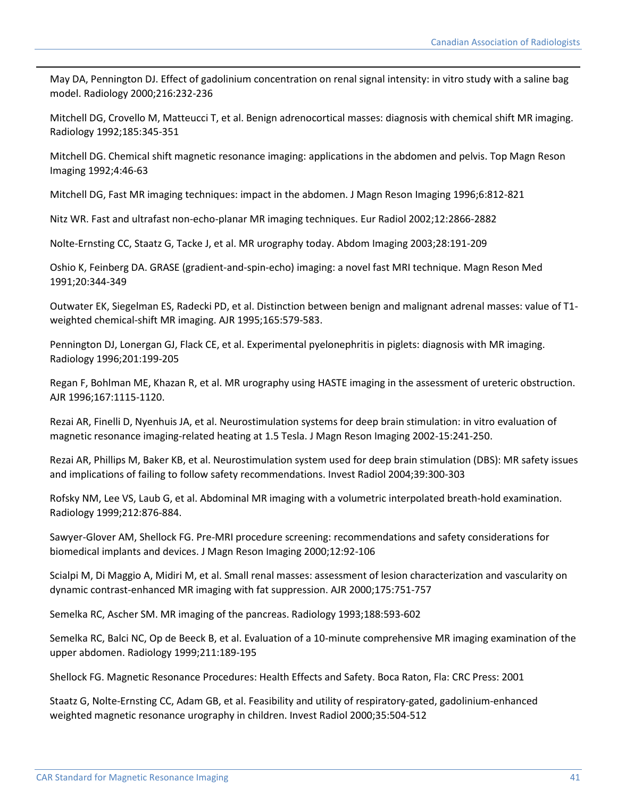May DA, Pennington DJ. Effect of gadolinium concentration on renal signal intensity: in vitro study with a saline bag model. Radiology 2000;216:232-236

Mitchell DG, Crovello M, Matteucci T, et al. Benign adrenocortical masses: diagnosis with chemical shift MR imaging. Radiology 1992;185:345-351

Mitchell DG. Chemical shift magnetic resonance imaging: applications in the abdomen and pelvis. Top Magn Reson Imaging 1992;4:46-63

Mitchell DG, Fast MR imaging techniques: impact in the abdomen. J Magn Reson Imaging 1996;6:812-821

Nitz WR. Fast and ultrafast non-echo-planar MR imaging techniques. Eur Radiol 2002;12:2866-2882

Nolte-Ernsting CC, Staatz G, Tacke J, et al. MR urography today. Abdom Imaging 2003;28:191-209

Oshio K, Feinberg DA. GRASE (gradient-and-spin-echo) imaging: a novel fast MRI technique. Magn Reson Med 1991;20:344-349

Outwater EK, Siegelman ES, Radecki PD, et al. Distinction between benign and malignant adrenal masses: value of T1 weighted chemical-shift MR imaging. AJR 1995;165:579-583.

Pennington DJ, Lonergan GJ, Flack CE, et al. Experimental pyelonephritis in piglets: diagnosis with MR imaging. Radiology 1996;201:199-205

Regan F, Bohlman ME, Khazan R, et al. MR urography using HASTE imaging in the assessment of ureteric obstruction. AJR 1996;167:1115-1120.

Rezai AR, Finelli D, Nyenhuis JA, et al. Neurostimulation systems for deep brain stimulation: in vitro evaluation of magnetic resonance imaging-related heating at 1.5 Tesla. J Magn Reson Imaging 2002-15:241-250.

Rezai AR, Phillips M, Baker KB, et al. Neurostimulation system used for deep brain stimulation (DBS): MR safety issues and implications of failing to follow safety recommendations. Invest Radiol 2004;39:300-303

Rofsky NM, Lee VS, Laub G, et al. Abdominal MR imaging with a volumetric interpolated breath-hold examination. Radiology 1999;212:876-884.

Sawyer-Glover AM, Shellock FG. Pre-MRI procedure screening: recommendations and safety considerations for biomedical implants and devices. J Magn Reson Imaging 2000;12:92-106

Scialpi M, Di Maggio A, Midiri M, et al. Small renal masses: assessment of lesion characterization and vascularity on dynamic contrast-enhanced MR imaging with fat suppression. AJR 2000;175:751-757

Semelka RC, Ascher SM. MR imaging of the pancreas. Radiology 1993;188:593-602

Semelka RC, Balci NC, Op de Beeck B, et al. Evaluation of a 10-minute comprehensive MR imaging examination of the upper abdomen. Radiology 1999;211:189-195

Shellock FG. Magnetic Resonance Procedures: Health Effects and Safety. Boca Raton, Fla: CRC Press: 2001

Staatz G, Nolte-Ernsting CC, Adam GB, et al. Feasibility and utility of respiratory-gated, gadolinium-enhanced weighted magnetic resonance urography in children. Invest Radiol 2000;35:504-512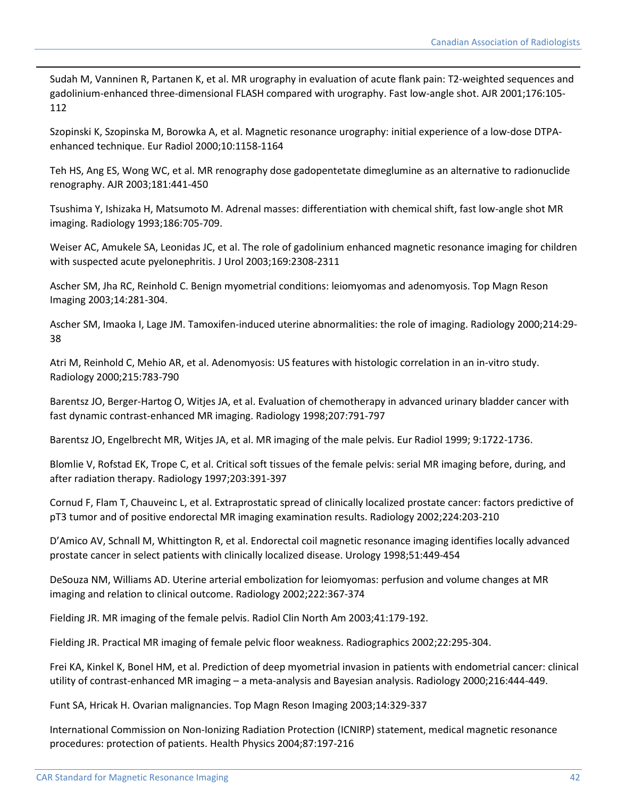Sudah M, Vanninen R, Partanen K, et al. MR urography in evaluation of acute flank pain: T2-weighted sequences and gadolinium-enhanced three-dimensional FLASH compared with urography. Fast low-angle shot. AJR 2001;176:105- 112

Szopinski K, Szopinska M, Borowka A, et al. Magnetic resonance urography: initial experience of a low-dose DTPAenhanced technique. Eur Radiol 2000;10:1158-1164

Teh HS, Ang ES, Wong WC, et al. MR renography dose gadopentetate dimeglumine as an alternative to radionuclide renography. AJR 2003;181:441-450

Tsushima Y, Ishizaka H, Matsumoto M. Adrenal masses: differentiation with chemical shift, fast low-angle shot MR imaging. Radiology 1993;186:705-709.

Weiser AC, Amukele SA, Leonidas JC, et al. The role of gadolinium enhanced magnetic resonance imaging for children with suspected acute pyelonephritis. J Urol 2003;169:2308-2311

Ascher SM, Jha RC, Reinhold C. Benign myometrial conditions: leiomyomas and adenomyosis. Top Magn Reson Imaging 2003;14:281-304.

Ascher SM, Imaoka I, Lage JM. Tamoxifen-induced uterine abnormalities: the role of imaging. Radiology 2000;214:29- 38

Atri M, Reinhold C, Mehio AR, et al. Adenomyosis: US features with histologic correlation in an in-vitro study. Radiology 2000;215:783-790

Barentsz JO, Berger-Hartog O, Witjes JA, et al. Evaluation of chemotherapy in advanced urinary bladder cancer with fast dynamic contrast-enhanced MR imaging. Radiology 1998;207:791-797

Barentsz JO, Engelbrecht MR, Witjes JA, et al. MR imaging of the male pelvis. Eur Radiol 1999; 9:1722-1736.

Blomlie V, Rofstad EK, Trope C, et al. Critical soft tissues of the female pelvis: serial MR imaging before, during, and after radiation therapy. Radiology 1997;203:391-397

Cornud F, Flam T, Chauveinc L, et al. Extraprostatic spread of clinically localized prostate cancer: factors predictive of pT3 tumor and of positive endorectal MR imaging examination results. Radiology 2002;224:203-210

D'Amico AV, Schnall M, Whittington R, et al. Endorectal coil magnetic resonance imaging identifies locally advanced prostate cancer in select patients with clinically localized disease. Urology 1998;51:449-454

DeSouza NM, Williams AD. Uterine arterial embolization for leiomyomas: perfusion and volume changes at MR imaging and relation to clinical outcome. Radiology 2002;222:367-374

Fielding JR. MR imaging of the female pelvis. Radiol Clin North Am 2003;41:179-192.

Fielding JR. Practical MR imaging of female pelvic floor weakness. Radiographics 2002;22:295-304.

Frei KA, Kinkel K, Bonel HM, et al. Prediction of deep myometrial invasion in patients with endometrial cancer: clinical utility of contrast-enhanced MR imaging – a meta-analysis and Bayesian analysis. Radiology 2000;216:444-449.

Funt SA, Hricak H. Ovarian malignancies. Top Magn Reson Imaging 2003;14:329-337

International Commission on Non-Ionizing Radiation Protection (ICNIRP) statement, medical magnetic resonance procedures: protection of patients. Health Physics 2004;87:197-216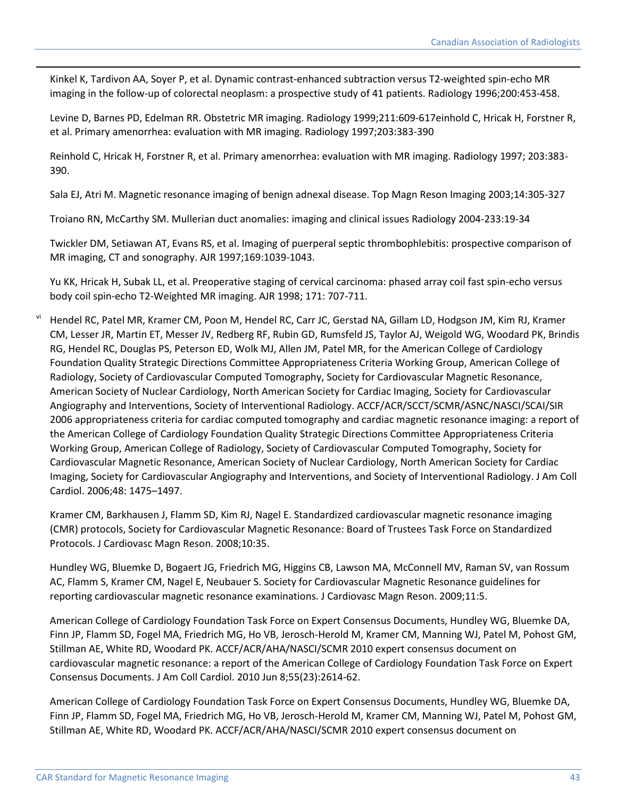Kinkel K, Tardivon AA, Soyer P, et al. Dynamic contrast-enhanced subtraction versus T2-weighted spin-echo MR imaging in the follow-up of colorectal neoplasm: a prospective study of 41 patients. Radiology 1996;200:453-458.

Levine D, Barnes PD, Edelman RR. Obstetric MR imaging. Radiology 1999;211:609-617einhold C, Hricak H, Forstner R, et al. Primary amenorrhea: evaluation with MR imaging. Radiology 1997;203:383-390

Reinhold C, Hricak H, Forstner R, et al. Primary amenorrhea: evaluation with MR imaging. Radiology 1997; 203:383- 390.

Sala EJ, Atri M. Magnetic resonance imaging of benign adnexal disease. Top Magn Reson Imaging 2003;14:305-327

Troiano RN, McCarthy SM. Mullerian duct anomalies: imaging and clinical issues Radiology 2004-233:19-34

Twickler DM, Setiawan AT, Evans RS, et al. Imaging of puerperal septic thrombophlebitis: prospective comparison of MR imaging, CT and sonography. AJR 1997;169:1039-1043.

Yu KK, Hricak H, Subak LL, et al. Preoperative staging of cervical carcinoma: phased array coil fast spin-echo versus body coil spin-echo T2-Weighted MR imaging. AJR 1998; 171: 707-711.

Hendel RC, Patel MR, Kramer CM, Poon M, Hendel RC, Carr JC, Gerstad NA, Gillam LD, Hodgson JM, Kim RJ, Kramer CM, Lesser JR, Martin ET, Messer JV, Redberg RF, Rubin GD, Rumsfeld JS, Taylor AJ, Weigold WG, Woodard PK, Brindis RG, Hendel RC, Douglas PS, Peterson ED, Wolk MJ, Allen JM, Patel MR, for the American College of Cardiology Foundation Quality Strategic Directions Committee Appropriateness Criteria Working Group, American College of Radiology, Society of Cardiovascular Computed Tomography, Society for Cardiovascular Magnetic Resonance, American Society of Nuclear Cardiology, North American Society for Cardiac Imaging, Society for Cardiovascular Angiography and Interventions, Society of Interventional Radiology. ACCF/ACR/SCCT/SCMR/ASNC/NASCI/SCAI/SIR 2006 appropriateness criteria for cardiac computed tomography and cardiac magnetic resonance imaging: a report of the American College of Cardiology Foundation Quality Strategic Directions Committee Appropriateness Criteria Working Group, American College of Radiology, Society of Cardiovascular Computed Tomography, Society for Cardiovascular Magnetic Resonance, American Society of Nuclear Cardiology, North American Society for Cardiac Imaging, Society for Cardiovascular Angiography and Interventions, and Society of Interventional Radiology. J Am Coll Cardiol. 2006;48: 1475–1497.

Kramer CM, Barkhausen J, Flamm SD, Kim RJ, Nagel E. Standardized cardiovascular magnetic resonance imaging (CMR) protocols, Society for Cardiovascular Magnetic Resonance: Board of Trustees Task Force on Standardized Protocols. J Cardiovasc Magn Reson. 2008;10:35.

Hundley WG, Bluemke D, Bogaert JG, Friedrich MG, Higgins CB, Lawson MA, McConnell MV, Raman SV, van Rossum AC, Flamm S, Kramer CM, Nagel E, Neubauer S. Society for Cardiovascular Magnetic Resonance guidelines for reporting cardiovascular magnetic resonance examinations. J Cardiovasc Magn Reson. 2009;11:5.

American College of Cardiology Foundation Task Force on Expert Consensus Documents, Hundley WG, Bluemke DA, Finn JP, Flamm SD, Fogel MA, Friedrich MG, Ho VB, Jerosch-Herold M, Kramer CM, Manning WJ, Patel M, Pohost GM, Stillman AE, White RD, Woodard PK. ACCF/ACR/AHA/NASCI/SCMR 2010 expert consensus document on cardiovascular magnetic resonance: a report of the American College of Cardiology Foundation Task Force on Expert Consensus Documents. J Am Coll Cardiol. 2010 Jun 8;55(23):2614-62.

American College of Cardiology Foundation Task Force on Expert Consensus Documents, Hundley WG, Bluemke DA, Finn JP, Flamm SD, Fogel MA, Friedrich MG, Ho VB, Jerosch-Herold M, Kramer CM, Manning WJ, Patel M, Pohost GM, Stillman AE, White RD, Woodard PK. ACCF/ACR/AHA/NASCI/SCMR 2010 expert consensus document on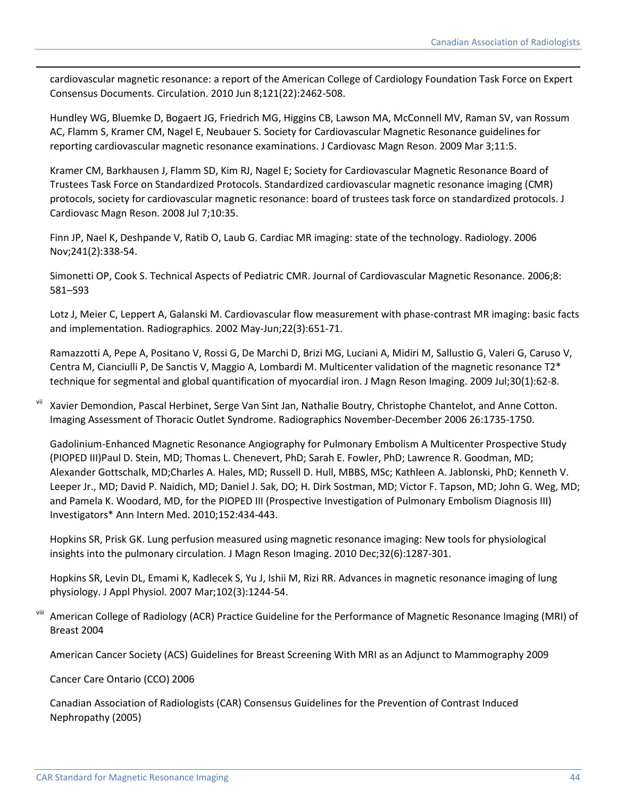cardiovascular magnetic resonance: a report of the American College of Cardiology Foundation Task Force on Expert Consensus Documents. Circulation. 2010 Jun 8;121(22):2462-508.

Hundley WG, Bluemke D, Bogaert JG, Friedrich MG, Higgins CB, Lawson MA, McConnell MV, Raman SV, van Rossum AC, Flamm S, Kramer CM, Nagel E, Neubauer S. Society for Cardiovascular Magnetic Resonance guidelines for reporting cardiovascular magnetic resonance examinations. J Cardiovasc Magn Reson. 2009 Mar 3;11:5.

Kramer CM, Barkhausen J, Flamm SD, Kim RJ, Nagel E; Society for Cardiovascular Magnetic Resonance Board of Trustees Task Force on Standardized Protocols. Standardized cardiovascular magnetic resonance imaging (CMR) protocols, society for cardiovascular magnetic resonance: board of trustees task force on standardized protocols. J Cardiovasc Magn Reson. 2008 Jul 7;10:35.

Finn JP, Nael K, Deshpande V, Ratib O, Laub G. Cardiac MR imaging: state of the technology. Radiology. 2006 Nov;241(2):338-54.

Simonetti OP, Cook S. Technical Aspects of Pediatric CMR. Journal of Cardiovascular Magnetic Resonance. 2006;8: 581–593

Lotz J, Meier C, Leppert A, Galanski M. Cardiovascular flow measurement with phase-contrast MR imaging: basic facts and implementation. Radiographics. 2002 May-Jun;22(3):651-71.

Ramazzotti A, Pepe A, Positano V, Rossi G, De Marchi D, Brizi MG, Luciani A, Midiri M, Sallustio G, Valeri G, Caruso V, Centra M, Cianciulli P, De Sanctis V, Maggio A, Lombardi M. Multicenter validation of the magnetic resonance T2\* technique for segmental and global quantification of myocardial iron. J Magn Reson Imaging. 2009 Jul;30(1):62-8.

Xavier Demondion, Pascal Herbinet, Serge Van Sint Jan, Nathalie Boutry, Christophe Chantelot, and Anne Cotton. Imaging Assessment of Thoracic Outlet Syndrome. Radiographics November-December 2006 26:1735-1750.

Gadolinium-Enhanced Magnetic Resonance Angiography for Pulmonary Embolism A Multicenter Prospective Study (PIOPED III)Paul D. Stein, MD; Thomas L. Chenevert, PhD; Sarah E. Fowler, PhD; Lawrence R. Goodman, MD; Alexander Gottschalk, MD;Charles A. Hales, MD; Russell D. Hull, MBBS, MSc; Kathleen A. Jablonski, PhD; Kenneth V. Leeper Jr., MD; David P. Naidich, MD; Daniel J. Sak, DO; H. Dirk Sostman, MD; Victor F. Tapson, MD; John G. Weg, MD; and Pamela K. Woodard, MD, for the PIOPED III (Prospective Investigation of Pulmonary Embolism Diagnosis III) Investigators\* Ann Intern Med. 2010;152:434-443.

Hopkins SR, Prisk GK. Lung perfusion measured using magnetic resonance imaging: New tools for physiological insights into the pulmonary circulation. J Magn Reson Imaging. 2010 Dec;32(6):1287-301.

Hopkins SR, Levin DL, Emami K, Kadlecek S, Yu J, Ishii M, Rizi RR. Advances in magnetic resonance imaging of lung physiology. J Appl Physiol. 2007 Mar;102(3):1244-54.

American College of Radiology (ACR) Practice Guideline for the Performance of Magnetic Resonance Imaging (MRI) of Breast 2004

American Cancer Society (ACS) Guidelines for Breast Screening With MRI as an Adjunct to Mammography 2009

Cancer Care Ontario (CCO) 2006

 $\overline{\phantom{a}}$ 

Canadian Association of Radiologists (CAR) Consensus Guidelines for the Prevention of Contrast Induced Nephropathy (2005)